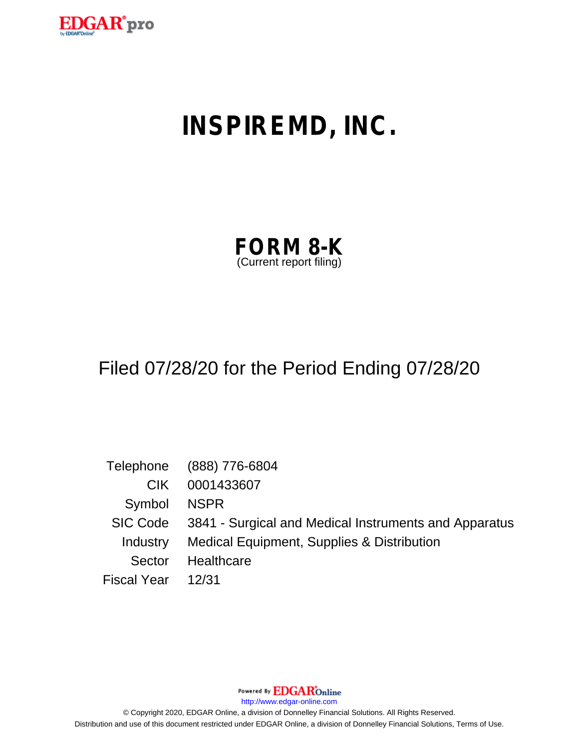

# **INSPIREMD, INC.**

| <b>FORM 8-K</b>         |  |
|-------------------------|--|
| (Current report filing) |  |

# Filed 07/28/20 for the Period Ending 07/28/20

|                    | Telephone (888) 776-6804                                       |
|--------------------|----------------------------------------------------------------|
| CIK.               | 0001433607                                                     |
| Symbol NSPR        |                                                                |
|                    | SIC Code 3841 - Surgical and Medical Instruments and Apparatus |
|                    | Industry Medical Equipment, Supplies & Distribution            |
| Sector             | Healthcare                                                     |
| Fiscal Year  12/31 |                                                                |

Powered By **EDGAR**Online

http://www.edgar-online.com

© Copyright 2020, EDGAR Online, a division of Donnelley Financial Solutions. All Rights Reserved. Distribution and use of this document restricted under EDGAR Online, a division of Donnelley Financial Solutions, Terms of Use.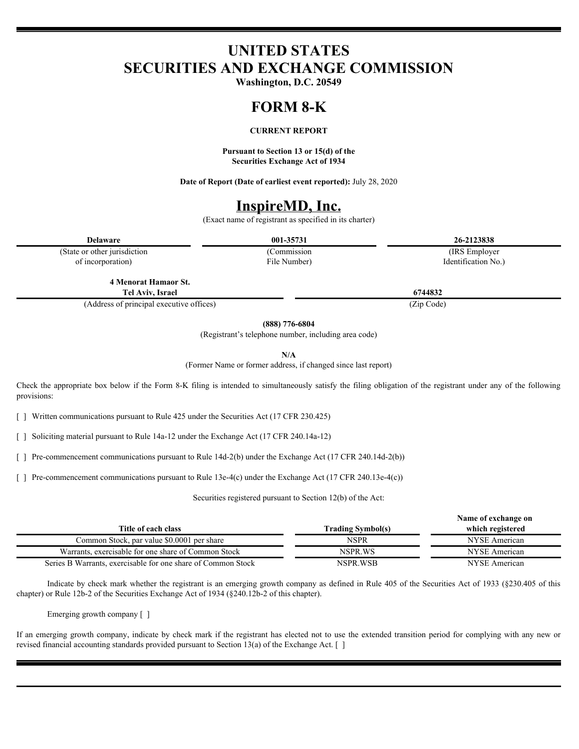# **UNITED STATES SECURITIES AND EXCHANGE COMMISSION**

**Washington, D.C. 20549**

## **FORM 8-K**

### **CURRENT REPORT**

**Pursuant to Section 13 or 15(d) of the Securities Exchange Act of 1934**

**Date of Report (Date of earliest event reported):** July 28, 2020

## **InspireMD, Inc.**

(Exact name of registrant as specified in its charter)

**Delaware 001-35731 26-2123838**

(State or other jurisdiction of incorporation)

File Number)

(Commission (IRS Employer Identification No.)

**4 Menorat Hamaor St. Tel Aviv, Israel 6744832**

(Address of principal executive offices) (Zip Code)

**(888) 776-6804**

(Registrant's telephone number, including area code)

**N/A**

(Former Name or former address, if changed since last report)

Check the appropriate box below if the Form 8-K filing is intended to simultaneously satisfy the filing obligation of the registrant under any of the following provisions:

[ ] Written communications pursuant to Rule 425 under the Securities Act (17 CFR 230.425)

[ ] Soliciting material pursuant to Rule 14a-12 under the Exchange Act (17 CFR 240.14a-12)

[ ] Pre-commencement communications pursuant to Rule 14d-2(b) under the Exchange Act (17 CFR 240.14d-2(b))

[ ] Pre-commencement communications pursuant to Rule 13e-4(c) under the Exchange Act (17 CFR 240.13e-4(c))

Securities registered pursuant to Section 12(b) of the Act:

|                                                              |                          | Name of exchange on |
|--------------------------------------------------------------|--------------------------|---------------------|
| Title of each class                                          | <b>Trading Symbol(s)</b> | which registered    |
| Common Stock, par value \$0.0001 per share                   | NSPR                     | NYSE American       |
| Warrants, exercisable for one share of Common Stock          | NSPR WS                  | NYSE American       |
| Series B Warrants, exercisable for one share of Common Stock | NSPR.WSB                 | NYSE American       |
|                                                              |                          |                     |

Indicate by check mark whether the registrant is an emerging growth company as defined in Rule 405 of the Securities Act of 1933 (§230.405 of this chapter) or Rule 12b-2 of the Securities Exchange Act of 1934 (§240.12b-2 of this chapter).

Emerging growth company [ ]

If an emerging growth company, indicate by check mark if the registrant has elected not to use the extended transition period for complying with any new or revised financial accounting standards provided pursuant to Section 13(a) of the Exchange Act. [ ]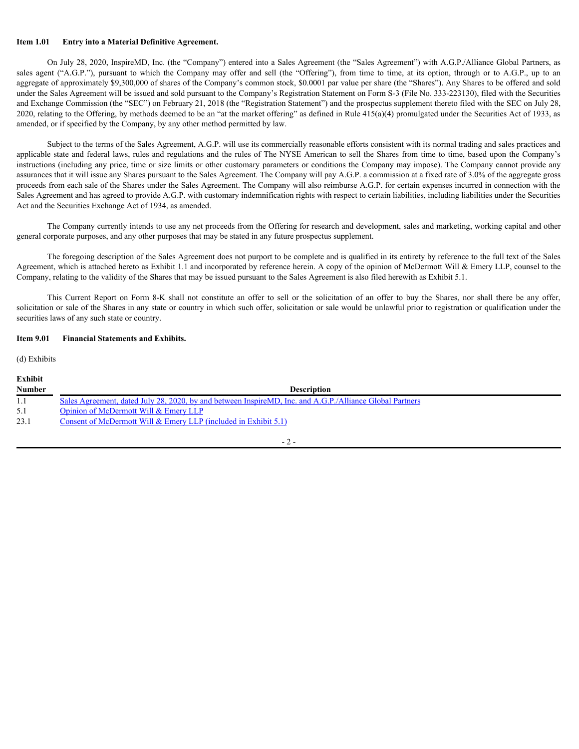### **Item 1.01 Entry into a Material Definitive Agreement.**

On July 28, 2020, InspireMD, Inc. (the "Company") entered into a Sales Agreement (the "Sales Agreement") with A.G.P./Alliance Global Partners, as Item 1.01 Entry into a Material Definitive Agreement.<br>
On July 28, 2020, InspireMD, Inc. (the "Company") entered into a Sales Agreement (the "Sales Agreement") with A.G.P./Alliance Global Partners, as<br>
sales agent ("A.G.P. aggregate of approximately \$9,300,000 of shares of the Company's common stock, \$0.0001 par value per share (the "Shares"). Any Shares to be offered and sold under the Sales Agreement will be issued and sold pursuant to the Company's Registration Statement on Form S-3 (File No. 333-223130), filed with the Securities and Exchange Commission (the "SEC") on February 21, 2018 (the "Registration Statement") and the prospectus supplement thereto filed with the SEC on July 28, 2020, relating to the Offering, by methods deemed to be an "at the market offering" as defined in Rule  $415(a)(4)$  promulgated under the Securities Act of 1933, as amended, or if specified by the Company, by any other method permitted by law. This rate is a Material Definitive Agreement.<br>
On July 23, 2020, ImpireMD. Inc. (the "Company") entered into a Sales Agreement (the "Sules Agreement") with A.G.P./Alliance Global Pattners, as<br>
in Crycin Pattners which the

Subject to the terms of the Sales Agreement, A.G.P. will use its commercially reasonable efforts consistent with its normal trading and sales practices and applicable state and federal laws, rules and regulations and the rules of The NYSE American to sell the Shares from time to time, based upon the Company's instructions (including any price, time or size limits or other customary parameters or conditions the Company may impose). The Company cannot provide any assurances that it will issue any Shares pursuant to the Sales Agreement. The Company will pay A.G.P. a commission at a fixed rate of 3.0% of the aggregate gross proceeds from each sale of the Shares under the Sales Agreement. The Company will also reimburse A.G.P. for certain expenses incurred in connection with the Sales Agreement and has agreed to provide A.G.P. with customary indemnification rights with respect to certain liabilities, including liabilities under the Securities Act and the Securities Exchange Act of 1934, as amended.

The Company currently intends to use any net proceeds from the Offering for research and development, sales and marketing, working capital and other general corporate purposes, and any other purposes that may be stated in any future prospectus supplement.

The foregoing description of the Sales Agreement does not purport to be complete and is qualified in its entirety by reference to the full text of the Sales Agreement, which is attached hereto as Exhibit 1.1 and incorporated by reference herein. A copy of the opinion of McDermott Will & Emery LLP, counsel to the Company, relating to the validity of the Shares that may be issued pursuant to the Sales Agreement is also filed herewith as Exhibit 5.1.

solicitation or sale of the Shares in any state or country in which such offer, solicitation or sale would be unlawful prior to registration or qualification under the securities laws of any such state or country.

### **Item 9.01 Financial Statements and Exhibits.**

(d) Exhibits

| <b>Exhibit</b> |                                                                                                          |
|----------------|----------------------------------------------------------------------------------------------------------|
| <b>Number</b>  | <b>Description</b>                                                                                       |
|                | Sales Agreement, dated July 28, 2020, by and between InspireMD, Inc. and A.G.P./Alliance Global Partners |
| 5.1            | Opinion of McDermott Will & Emery LLP                                                                    |
| 23.1           | Consent of McDermott Will $& \text{Energy LLP}$ (included in Exhibit 5.1)                                |
|                |                                                                                                          |

- 2 -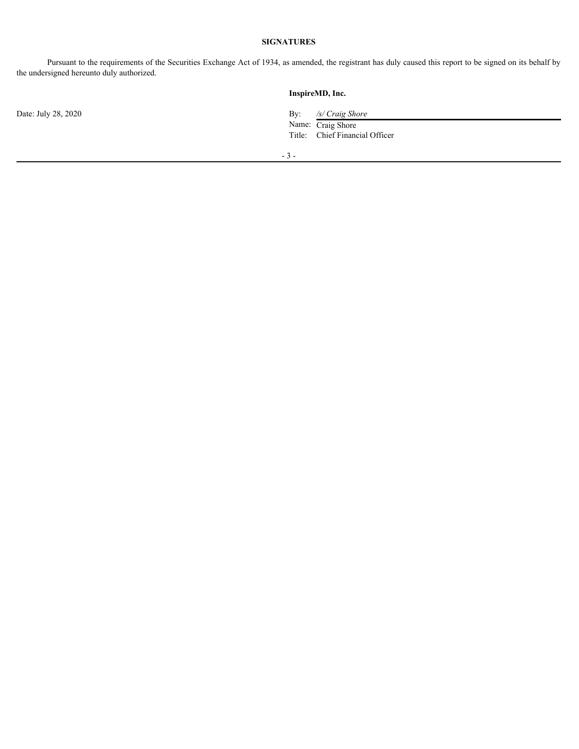### **SIGNATURES**

Pursuant to the requirements of the Securities Exchange Act of 1934, as amended, the registrant has duly caused this report to be signed on its behalf by the undersigned hereunto duly authorized.

**InspireMD, Inc.** Date: July 28, 2020 **By:** */s/ Craig Shore* **By:** */s/ Craig Shore* Name: Craig Shore Title: Chief Financial Officer - 3 -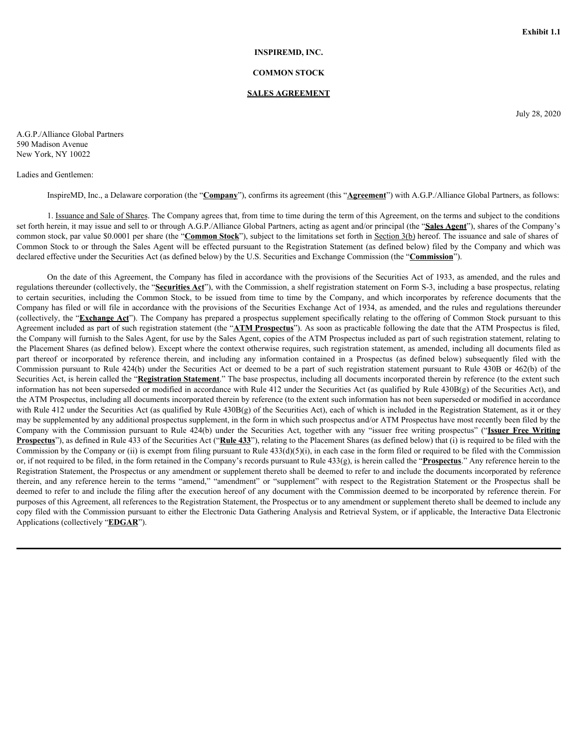### **INSPIREMD, INC.**

### **COMMON STOCK**

### **SALES AGREEMENT**

July 28, 2020

A.G.P./Alliance Global Partners 590 Madison Avenue New York, NY 10022

Ladies and Gentlemen:

InspireMD, Inc., a Delaware corporation (the "**Company**"), confirms its agreement (this "**Agreement**") with A.G.P./Alliance Global Partners, as follows:

1. Issuance and Sale of Shares. The Company agrees that, from time to time during the term of this Agreement, on the terms and subject to the conditions set forth herein, it may issue and sell to or through A.G.P./Alliance Global Partners, acting as agent and/or principal (the "**Sales Agent**"), shares of the Company's common stock, par value \$0.0001 per share (the "**Common Stock**"), subject to the limitations set forth in Section 3(b) hereof. The issuance and sale of shares of Common Stock to or through the Sales Agent will be effected pursuant to the Registration Statement (as defined below) filed by the Company and which was declared effective under the Securities Act (as defined below) by the U.S. Securities and Exchange Commission (the "**Commission**").

<span id="page-4-0"></span>On the date of this Agreement, the Company has filed in accordance with the provisions of the Securities Act of 1933, as amended, and the rules and regulations thereunder (collectively, the "**Securities Act**"), with the Commission, a shelf registration statement on Form S-3, including a base prospectus, relating **Exhibit 5.1**<br> **EXAMIDENT COMMONS STOCK SALES AGREEMENT**<br>
SALES AGREEMENT<br>
SON Motion Avenue Common Stock, SALES AGREEMENT<br>
SON Motion Avenue Common Stock, SALES AGREEMENT (big "Agreement") with A G P. Alliamce Given Part Company has filed or will file in accordance with the provisions of the Securities Exchange Act of 1934, as amended, and the rules and regulations thereunder (collectively, the "**Exchange Act**"). The Company has prepared a prospectus supplement specifically relating to the offering of Common Stock pursuant to this Agreement included as part of such registration statement (the "**ATM Prospectus**"). As soon as practicable following the date that the ATM Prospectus is filed, the Company will furnish to the Sales Agent, for use by the Sales Agent, copies of the ATM Prospectus included as part of such registration statement, relating to the Placement Shares (as defined below). Except where the context otherwise requires, such registration statement, as amended, including all documents filed as **PART INTO A COMMON STOCK**<br>
SALLES AGUELIMENT (COMMON STOCK<br>
SALLES AGUELIMENT (For  $\mu$ ) 20, 2020<br>
SALLES AGUELIMENT (For  $\mu$ ) 20, 2020<br>
Here York, NY 10022<br>
Here York, NY 10022<br>
Here York, NY 10022<br>
Here York, NY 10022 Commission pursuant to Rule 424(b) under the Securities Act or deemed to be a part of such registration statement pursuant to Rule 430B or 462(b) of the Securities Act, is herein called the "Registration Statement." The base prospectus, including all documents incorporated therein by reference (to the extent such information has not been superseded or modified in accordance with Rule 412 under the Securities Act (as qualified by Rule 430B(g) of the Securities Act), and the ATM Prospectus, including all documents incorporated therein by reference (to the extent such information has not been superseded or modified in accordance with Rule 412 under the Securities Act (as qualified by Rule  $430B(g)$  of the Securities Act), each of which is included in the Registration Statement, as it or they may be supplemented by any additional prospectus supplement, in the form in which such prospectus and/or ATM Prospectus have most recently been filed by the A O P /Alliance Global Partners<br>
250 Madison Avenue company of the "Comment"), confirms in agreement (bis "Agreement") with A GP /Alliance Global Partners, in follows:<br>
Revive for Nuclear and Global Dartners and Commission **Prospectus**"), as defined in Rule 433 of the Securities Act ("Rule 433"), relating to the Placement Shares (as defined below) that (i) is required to be filed with the Commission by the Company or (ii) is exempt from filing pursuant to Rule  $433(d)(5)(i)$ , in each case in the form filed or required to be filed with the Commission or, if not required to be filed, in the form retained in the Company's records pursuant to Rule 433(g), is herein called the "**Prospectus**." Any reference herein to the Registration Statement, the Prospectus or any amendment or supplement thereto shall be deemed to refer to and include the documents incorporated by reference Index and Genetrer.<br>
in Business and Sale of San Hans corporation (the "**Campany**"), confirm is a given during the term of dis Agreement with command anisote to the conditions are followed as the following amendment of the deemed to refer to and include the filing after the execution hereof of any document with the Commission deemed to be incorporated by reference therein. For purposes of this Agreement, all references to the Registration Statement, the Prospectus or to any amendment or supplement thereto shall be deemed to include any copy filed with the Commission pursuant to either the Electronic Data Gathering Analysis and Retrieval System, or if applicable, the Interactive Data Electronic Applications (collectively "**EDGAR**").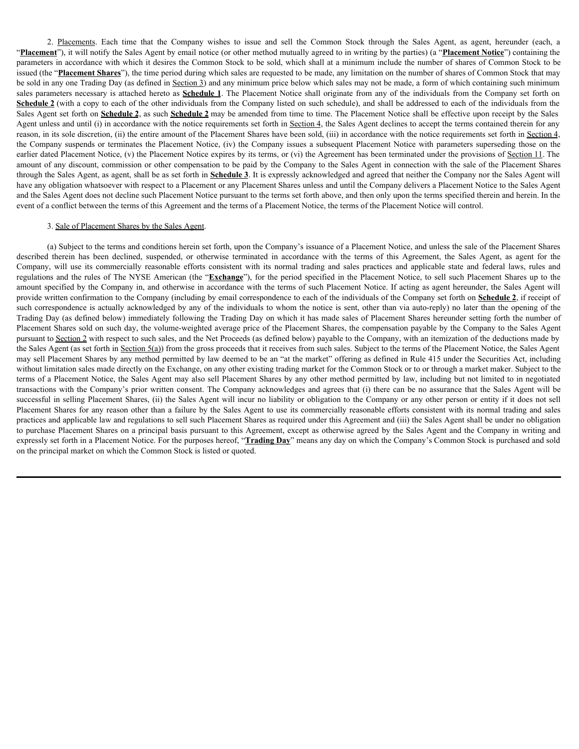2. Placements. Each time that the Company wishes to issue and sell the Common Stock through the Sales Agent, as agent, hereunder (each, a **ent**<sup>2</sup>), it will notify the Sales Agent by email notice (or other method mutually "**Placement**"), it will notify the Sales Agent by email notice (or other method mutually agreed to in writing by the parties) (a "**Placement Notice**") containing the parameters in accordance with which it desires the Common Stock to be sold, which shall at a minimum include the number of shares of Common Stock to be issued (the "**Placement Shares**"), the time period during which sales are requested to be made, any limitation on the number of shares of Common Stock that may be sold in any one Trading Day (as defined in Section 3) and any minimum price below which sales may not be made, a form of which containing such minimum sales parameters necessary is attached hereto as **Schedule 1**. The Placement Notice shall originate from any of the individuals from the Company set forth on Schedule 2 (with a copy to each of the other individuals from the Company listed on such schedule), and shall be addressed to each of the individuals from the Sales Agent set forth on **Schedule 2**, as such **Schedule 2** may be amended from time to time. The Placement Notice shall be effective upon receipt by the Sales Agent unless and until (i) in accordance with the notice requirements set forth in Section 4, the Sales Agent declines to accept the terms contained therein for any reason, in its sole discretion, (ii) the entire amount of the Placement Shares have been sold, (iii) in accordance with the notice requirements set forth in Section 4, the Company suspends or terminates the Placement Notice, (iv) the Company issues a subsequent Placement Notice with parameters superseding those on the earlier dated Placement Notice, (v) the Placement Notice expires by its terms, or (vi) the Agreement has been terminated under the provisions of Section 11. The amount of any discount, commission or other compensation to be paid by the Company to the Sales Agent in connection with the sale of the Placement Shares through the Sales Agent, as agent, shall be as set forth in **Schedule 3**. It is expressly acknowledged and agreed that neither the Company nor the Sales Agent will have any obligation whatsoever with respect to a Placement or any Placement Shares unless and until the Company delivers a Placement Notice to the Sales Agent and the Sales Agent does not decline such Placement Notice pursuant to the terms set forth above, and then only upon the terms specified therein and herein. In the event of a conflict between the terms of this Agreement and the terms of a Placement Notice, the terms of the Placement Notice will control. 2. Phasmasus. Each inne that the Company wishes to issue and sell the Common Stock through the Sales Agent, as agent, heremined in a manning percel of estimal and to contain the sales Agreement Sales Agent, The manning the 2 Phasments Fack time that the Company wishes to issue and sell the Commun Stuck through the Sales Agent, as agent, hereard Fack Agent and proportion in the Unit in original procedure of the minister gove for such and the

### 3. Sale of Placement Shares by the Sales Agent.

(a) Subject to the terms and conditions herein set forth, upon the Company's issuance of a Placement Notice, and unless the sale of the Placement Shares regulations and the rules of The NYSE American (the "**Exchange**"), for the period specified in the Placement Notice, to sell such Placement Shares up to the amount specified by the Company in, and otherwise in accordance with the terms of such Placement Notice. If acting as agent hereunder, the Sales Agent will provide written confirmation to the Company (including by email correspondence to each of the individuals of the Company set forth on **Schedule 2**, if receipt of such correspondence is actually acknowledged by any of the individuals to whom the notice is sent, other than via auto-reply) no later than the opening of the Trading Day (as defined below) immediately following the Trading Day on which it has made sales of Placement Shares hereunder setting forth the number of Placement Shares sold on such day, the volume-weighted average price of the Placement Shares, the compensation payable by the Company to the Sales Agent pursuant to Section 2 with respect to such sales, and the Net Proceeds (as defined below) payable to the Company, with an itemization of the deductions made by the Sales Agent (as set forth in Section 5(a)) from the gross proceeds that it receives from such sales. Subject to the terms of the Placement Notice, the Sales Agent may sell Placement Shares by any method permitted by law deemed to be an "at the market" offering as defined in Rule 415 under the Securities Act, including without limitation sales made directly on the Exchange, on any other existing trading market for the Common Stock or to or through a market maker. Subject to the terms of a Placement Notice, the Sales Agent may also sell Placement Shares by any other method permitted by law, including but not limited to in negotiated transactions with the Company's prior written consent. The Company acknowledges and agrees that (i) there can be no assurance that the Sales Agent will be successful in selling Placement Shares, (ii) the Sales Agent will incur no liability or obligation to the Company or any other person or entity if it does not sell Placement Shares for any reason other than a failure by the Sales Agent to use its commercially reasonable efforts consistent with its normal trading and sales practices and applicable law and regulations to sell such Placement Shares as required under this Agreement and (iii) the Sales Agent shall be under no obligation to purchase Placement Shares on a principal basis pursuant to this Agreement, except as otherwise agreed by the Sales Agent and the Company in writing and expressly set forth in a Placement Notice. For the purposes hereof, "**Trading Day**" means any day on which the Company's Common Stock is purchased and sold on the principal market on which the Common Stock is listed or quoted.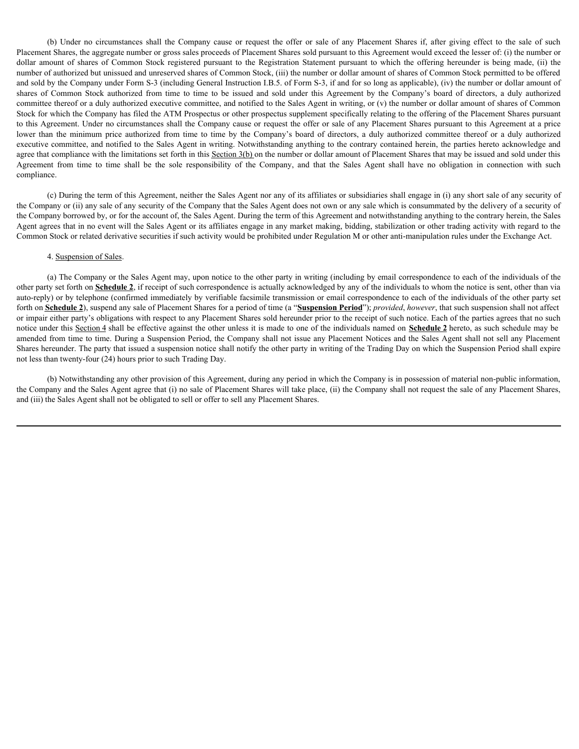(b) Under no circumstances shall the Company cause or request the offer or sale of any Placement Shares if, after giving effect to the sale of such at Shares, the aggregate number or gross sales proceeds of Placement Share Placement Shares, the aggregate number or gross sales proceeds of Placement Shares sold pursuant to this Agreement would exceed the lesser of: (i) the number or (b) Under no circumstances shall the Company cause or request the offer or sale of any Placement Shares if, after giving effect to the sale of such<br>Placement Shares, the aggregate number or gross sales proceeds of Placemen number of authorized but unissued and unreserved shares of Common Stock, (iii) the number or dollar amount of shares of Common Stock permitted to be offered and sold by the Company under Form S-3 (including General Instruction I.B.5. of Form S-3, if and for so long as applicable), (iv) the number or dollar amount of (b) Under no circumstances shall the Company cause or request the offer or sale of any Placement Shares if, after giving effect to the sale of such<br>Placement Shares mumber or gross sales proceeds of Placement Shares sold p committee thereof or a duly authorized executive committee, and notified to the Sales Agent in writing, or (v) the number or dollar amount of shares of Common Stock for which the Company has filed the ATM Prospectus or other prospectus supplement specifically relating to the offering of the Placement Shares pursuant to this Agreement. Under no circumstances shall the Company cause or request the offer or sale of any Placement Shares pursuant to this Agreement at a price (b) Under no circumstances shall the Company cause or request the offer or sale of any Placement Shares if, after giving effect to the sale of such<br>Placement Shares of Common Sock registered pursuant to the Registration S executive committee, and notified to the Sales Agent in writing. Notwithstanding anything to the contrary contained herein, the parties hereto acknowledge and agree that compliance with the limitations set forth in this Section 3(b) on the number or dollar amount of Placement Shares that may be issued and sold under this (b) Under no circumstances shall the Company cause or request the offer or sale of any Placement Shares if, after giving effect to the sale of such Placement Shares, the aggregate mumber or gross sales proceeds of Placeme compliance.

(c) During the term of this Agreement, neither the Sales Agent nor any of its affiliates or subsidiaries shall engage in (i) any short sale of any security of the Company or (ii) any sale of any security of the Company that the Sales Agent does not own or any sale which is consummated by the delivery of a security of the Company borrowed by, or for the account of, the Sales Agent. During the term of this Agreement and notwithstanding anything to the contrary herein, the Sales Agent agrees that in no event will the Sales Agent or its affiliates engage in any market making, bidding, stabilization or other trading activity with regard to the Common Stock or related derivative securities if such activity would be prohibited under Regulation M or other anti-manipulation rules under the Exchange Act.

### 4. Suspension of Sales.

(a) The Company or the Sales Agent may, upon notice to the other party in writing (including by email correspondence to each of the individuals of the other party set forth on **Schedule 2**, if receipt of such correspondence is actually acknowledged by any of the individuals to whom the notice is sent, other than via auto-reply) or by telephone (confirmed immediately by verifiable facsimile transmission or email correspondence to each of the individuals of the other party set forth on **Schedule 2**), suspend any sale of Placement Shares for a period of time (a "**Suspension Period**"); *provided*, *however*, that such suspension shall not affect or impair either party's obligations with respect to any Placement Shares sold hereunder prior to the receipt of such notice. Each of the parties agrees that no such notice under this Section 4 shall be effective against the other unless it is made to one of the individuals named on **Schedule 2** hereto, as such schedule may be amended from time to time. During a Suspension Period, the Company shall not issue any Placement Notices and the Sales Agent shall not sell any Placement Shares hereunder. The party that issued a suspension notice shall notify the other party in writing of the Trading Day on which the Suspension Period shall expire not less than twenty-four (24) hours prior to such Trading Day.

(b) Notwithstanding any other provision of this Agreement, during any period in which the Company is in possession of material non-public information, the Company and the Sales Agent agree that (i) no sale of Placement Shares will take place, (ii) the Company shall not request the sale of any Placement Shares, and (iii) the Sales Agent shall not be obligated to sell or offer to sell any Placement Shares.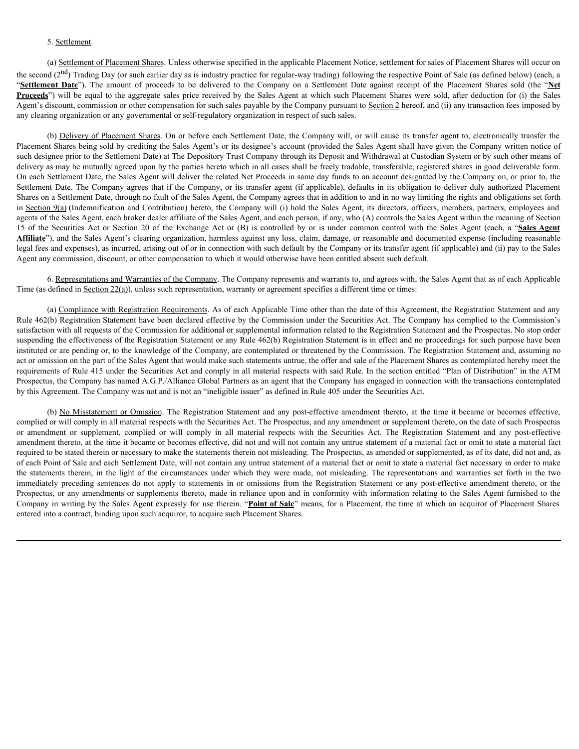### 5. Settlement.

(a) Settlement of Placement Shares. Unless otherwise specified in the applicable Placement Notice, settlement for sales of Placement Shares will occur on the second  $(2<sup>nd</sup>)$  Trading Day (or such earlier day as is industry practice for regular-way trading) following the respective Point of Sale (as defined below) (each, a 5. <u>Settlement</u><br>
(a) Settlement of Placement Shares. Unless otherwise specified in the applicable Placement Notice, settlement for sales of Placement Shares will occur on<br>
the second ( $2^{nd}$ ) Trading Day (or such earlier **Proceeds**") will be equal to the aggregate sales price received by the Sales Agent at which such Placement Shares were sold, after deduction for (i) the Sales Agent's discount, commission or other compensation for such sales payable by the Company pursuant to Section 2 hereof, and (ii) any transaction fees imposed by any clearing organization or any governmental or self-regulatory organization in respect of such sales.

(b) Delivery of Placement Shares. On or before each Settlement Date, the Company will, or will cause its transfer agent to, electronically transfer the Placement Shares being sold by crediting the Sales Agent's or its designee's account (provided the Sales Agent shall have given the Company written notice of such designee prior to the Settlement Date) at The Depository Trust Company through its Deposit and Withdrawal at Custodian System or by such other means of delivery as may be mutually agreed upon by the parties hereto which in all cases shall be freely tradable, transferable, registered shares in good deliverable form. On each Settlement Date, the Sales Agent will deliver the related Net Proceeds in same day funds to an account designated by the Company on, or prior to, the Settlement Date. The Company agrees that if the Company, or its transfer agent (if applicable), defaults in its obligation to deliver duly authorized Placement Shares on a Settlement Date, through no fault of the Sales Agent, the Company agrees that in addition to and in no way limiting the rights and obligations set forth in Section 9(a) (Indemnification and Contribution) hereto, the Company will (i) hold the Sales Agent, its directors, officers, members, partners, employees and agents of the Sales Agent, each broker dealer affiliate of the Sales Agent, and each person, if any, who (A) controls the Sales Agent within the meaning of Section 5 Sallement<br>
(a) Sathement of Placement Shares Unless otherwise specified in the applicable Placement Notics, settlement for sales of Placement Shares will occur on<br>
the second Z<sup>cha</sup> Tradito Ray to such and the day as is **Affiliate**"), and the Sales Agent's clearing organization, harmless against any loss, claim, damage, or reasonable and documented expense (including reasonable legal fees and expenses), as incurred, arising out of or in connection with such default by the Company or its transfer agent (if applicable) and (ii) pay to the Sales Agent any commission, discount, or other compensation to which it would otherwise have been entitled absent such default. (b) <u>Delivery of Placement Shares</u> On or before each Sectionnel Date, of Company will, or will come in the company will come of the Section Act and Act and Act and Act and Act and Act and Act and Act and Act and Act and Ac

6. Representations and Warranties of the Company. The Company represents and warrants to, and agrees with, the Sales Agent that as of each Applicable Time (as defined in <u>Section 22(a)</u>), unless such representation, warranty or agreement specifies a different time or times:

(a) Compliance with Registration Requirements. As of each Applicable Time other than the date of this Agreement, the Registration Statement and any Rule 462(b) Registration Statement have been declared effective by the Commission under the Securities Act. The Company has complied to the Commission's satisfaction with all requests of the Commission for additional or supplemental information related to the Registration Statement and the Prospectus. No stop order suspending the effectiveness of the Registration Statement or any Rule 462(b) Registration Statement is in effect and no proceedings for such purpose have been instituted or are pending or, to the knowledge of the Company, are contemplated or threatened by the Commission. The Registration Statement and, assuming no act or omission on the part of the Sales Agent that would make such statements untrue, the offer and sale of the Placement Shares as contemplated hereby meet the requirements of Rule 415 under the Securities Act and comply in all material respects with said Rule. In the section entitled "Plan of Distribution" in the ATM Prospectus, the Company has named A.G.P./Alliance Global Partners as an agent that the Company has engaged in connection with the transactions contemplated by this Agreement. The Company was not and is not an "ineligible issuer" as defined in Rule 405 under the Securities Act.

(b) No Misstatement or Omission. The Registration Statement and any post-effective amendment thereto, at the time it became or becomes effective, complied or will comply in all material respects with the Securities Act. The Prospectus, and any amendment or supplement thereto, on the date of such Prospectus amendment thereto, at the time it became or becomes effective, did not and will not contain any untrue statement of a material fact or omit to state a material fact required to be stated therein or necessary to make the statements therein not misleading. The Prospectus, as amended or supplemented, as of its date, did not and, as of each Point of Sale and each Settlement Date, will not contain any untrue statement of a material fact or omit to state a material fact necessary in order to make delivery a may be maraked greate the state of the best in the state of the state in the state of the state of the state in the state of the state of the state of the state of the state of the state of the state of the stat in consistence into the Velomia to the Velomia Mericules in the Koreal Mericules in the Koreal Mericules in the Solition to deliver day and the Registration of the Registration of the Registration of the Registration of th Prospectus, or any amendments or supplements thereto, made in reliance upon and in conformity with information relating to the Sales Agent furnished to the Company in writing by the Sales Agent expressly for use therein. "**Point of Sale**" means, for a Placement, the time at which an acquiror of Placement Shares entered into a contract, binding upon such acquiror, to acquire such Placement Shares.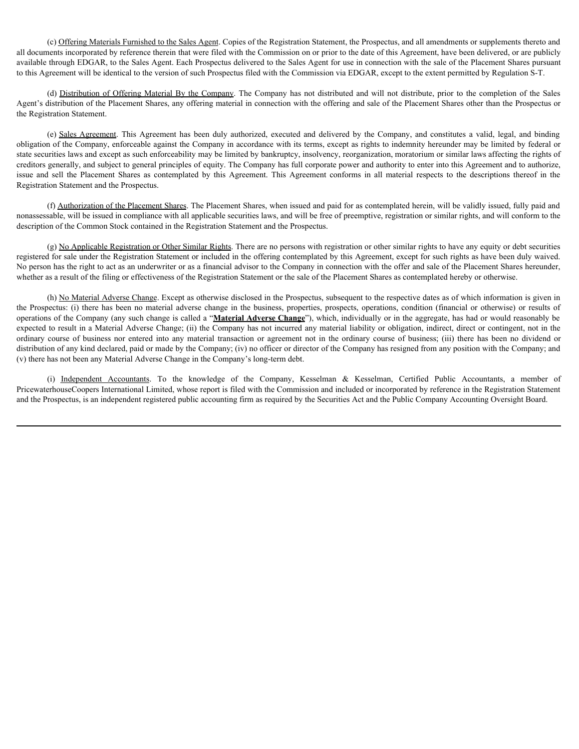(c) Offering Materials Furnished to the Sales Agent. Copies of the Registration Statement, the Prospectus, and all amendments or supplements thereto and all documents incorporated by reference therein that were filed with the Commission on or prior to the date of this Agreement, have been delivered, or are publicly available through EDGAR, to the Sales Agent. Each Prospectus delivered to the Sales Agent for use in connection with the sale of the Placement Shares pursuant to this Agreement will be identical to the version of such Prospectus filed with the Commission via EDGAR, except to the extent permitted by Regulation S-T.

(d) Distribution of Offering Material By the Company. The Company has not distributed and will not distribute, prior to the completion of the Sales Agent's distribution of the Placement Shares, any offering material in connection with the offering and sale of the Placement Shares other than the Prospectus or the Registration Statement.

(c) Offering Materials Furnished to the Sales Agent Copies of the Registration Statement, the Prospectus, and all amendments or supplements thereto and<br>enertient incorporated by reference therein that were filed with the C obligation of the Company, enforceable against the Company in accordance with its terms, except as rights to indemnity hereunder may be limited by federal or state securities laws and except as such enforceability may be limited by bankruptcy, insolvency, reorganization, moratorium or similar laws affecting the rights of creditors generally, and subject to general principles of equity. The Company has full corporate power and authority to enter into this Agreement and to authorize, issue (c) <u>Officine Materials Fumished to the Sales Agent.</u> Copies of the Registration Statement, the Prospectus, and all amendments or supplements thereto and<br>and all documents incorporated by reference therein that were Registration Statement and the Prospectus.

(f) Authorization of the Placement Shares. The Placement Shares, when issued and paid for as contemplated herein, will be validly issued, fully paid and nonassessable, will be issued in compliance with all applicable securities laws, and will be free of preemptive, registration or similar rights, and will conform to the description of the Common Stock contained in the Registration Statement and the Prospectus.

(g) No Applicable Registration or Other Similar Rights. There are no persons with registration or other similar rights to have any equity or debt securities registered for sale under the Registration Statement or included in the offering contemplated by this Agreement, except for such rights as have been duly waived. No person has the right to act as an underwriter or as a financial advisor to the Company in connection with the offer and sale of the Placement Shares hereunder, whether as a result of the filing or effectiveness of the Registration Statement or the sale of the Placement Shares as contemplated hereby or otherwise.

(h) No Material Adverse Change. Except as otherwise disclosed in the Prospectus, subsequent to the respective dates as of which information is given in the Prospectus: (i) there has been no material adverse change in the business, properties, prospects, operations, condition (financial or otherwise) or results of operations of the Company (any such change is called a "**Material Adverse Change**"), which, individually or in the aggregate, has had or would reasonably be expected to result in a Material Adverse Change; (ii) the Company has not incurred any material liability or obligation, indirect, direct or contingent, not in the ord <u>Origins Materials Funnished to the Sales Agent Copies of the Registration or prior to de definite for controlled transform or the controlled transform or the controlled business of the definite or controlled business </u> distribution of any kind declared, paid or made by the Company; (iv) no officer or director of the Company has resigned from any position with the Company; and (v) there has not been any Material Adverse Change in the Company's long-term debt. erencent will be identical to the version of such Frospectus filed with the Commission via EDGAR, except to the extent permitted by Regulation 5.7. (40) Eighthand a following the Company has one distributed and will not di

PricewaterhouseCoopers International Limited, whose report is filed with the Commission and included or incorporated by reference in the Registration Statement and the Prospectus, is an independent registered public accounting firm as required by the Securities Act and the Public Company Accounting Oversight Board.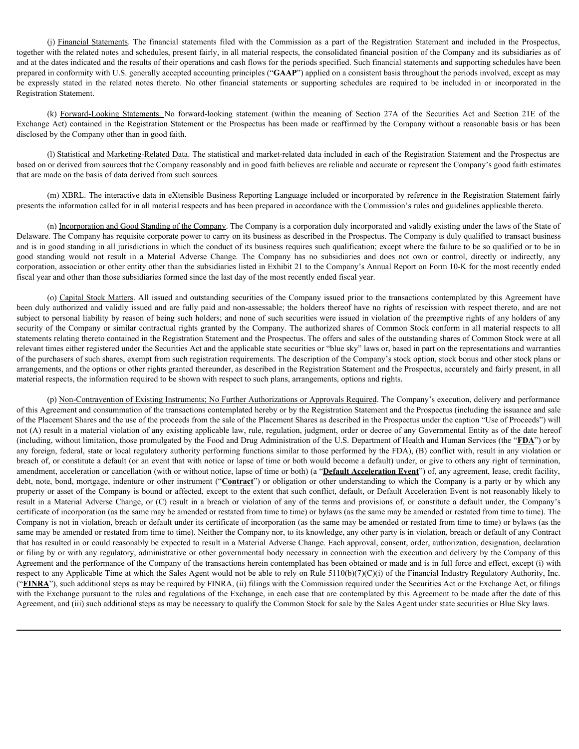(j) <u>Financial Statements</u>. The financial statements filed with the Commission as a part of the Registration Statement and included in the Prospectus, with the related notes and schedules, present fairly, in all material r together with the related notes and schedules, present fairly, in all material respects, the consolidated financial position of the Company and its subsidiaries as of and at the dates indicated and the results of their operations and cash flows for the periods specified. Such financial statements and supporting schedules have been prepared in conformity with U.S. generally accepted accounting principles ("**GAAP**") applied on a consistent basis throughout the periods involved, except as may (i) <u>Financial Statements</u>. The financial statements filed with the Commission as a part of the Registration Statement and included in the Prospectus, together with the related notes and schedules, present fairly, in all m Registration Statement. (i) Emancial Statements. The financial statements filed with the Commission as a part of the Registration Statement and included in the Prospectus, with the related notes and schedules, present fairly, in all material resp (i) Einancial Statements. The financial statements filed with the Commission as a part of the Registration Statement and included in the Prospectus, the actual content with the result controlled space in first, and interes

Exchange Act) contained in the Registration Statement or the Prospectus has been made or reaffirmed by the Company without a reasonable basis or has been disclosed by the Company other than in good faith.

(l) Statistical and Marketing-Related Data. The statistical and market-related data included in each of the Registration Statement and the Prospectus are based on or derived from sources that the Company reasonably and in good faith believes are reliable and accurate or represent the Company's good faith estimates that are made on the basis of data derived from such sources.

(m) XBRL. The interactive data in eXtensible Business Reporting Language included or incorporated by reference in the Registration Statement fairly presents the information called for in all material respects and has been prepared in accordance with the Commission's rules and guidelines applicable thereto.

(n) Incorporation and Good Standing of the Company. The Company is a corporation duly incorporated and validly existing under the laws of the State of Delaware. The Company has requisite corporate power to carry on its business as described in the Prospectus. The Company is duly qualified to transact business and is in good standing in all jurisdictions in which the conduct of its business requires such qualification; except where the failure to be so qualified or to be in corporation, association or other entity other than the subsidiaries listed in Exhibit 21 to the Company's Annual Report on Form 10-K for the most recently ended fiscal year and other than those subsidiaries formed since the last day of the most recently ended fiscal year.

(o) Capital Stock Matters. All issued and outstanding securities of the Company issued prior to the transactions contemplated by this Agreement have been duly authorized and validly issued and are fully paid and non-assessable; the holders thereof have no rights of rescission with respect thereto, and are not subject to personal liability by reason of being such holders; and none of such securities were issued in violation of the preemptive rights of any holders of any security of the Company or similar contractual rights granted by the Company. The authorized shares of Common Stock conform in all material respects to all statements relating thereto contained in the Registration Statement and the Prospectus. The offers and sales of the outstanding shares of Common Stock were at all relevant times either registered under the Securities Act and the applicable state securities or "blue sky" laws or, based in part on the representations and warranties of the purchasers of such shares, exempt from such registration requirements. The description of the Company's stock option, stock bonus and other stock plans or arrangements, and the options or other rights granted thereunder, as described in the Registration Statement and the Prospectus, accurately and fairly present, in all material respects, the information required to be shown with respect to such plans, arrangements, options and rights.

(p) Non-Contravention of Existing Instruments; No Further Authorizations or Approvals Required. The Company's execution, delivery and performance of this Agreement and consummation of the transactions contemplated hereby or by the Registration Statement and the Prospectus (including the issuance and sale of the Placement Shares and the use of the proceeds from the sale of the Placement Shares as described in the Prospectus under the caption "Use of Proceeds") will not (A) result in a material violation of any existing applicable law, rule, regulation, judgment, order or decree of any Governmental Entity as of the date hereof (including, without limitation, those promulgated by the Food and Drug Administration of the U.S. Department of Health and Human Services (the "**FDA**") or by any foreign, federal, state or local regulatory authority performing functions similar to those performed by the FDA), (B) conflict with, result in any violation or breach of, or constitute a default (or an event that with notice or lapse of time or both would become a default) under, or give to others any right of termination, amendment, acceleration or cancellation (with or without notice, lapse of time or both) (a "**Default Acceleration Event**") of, any agreement, lease, credit facility, debt, note, bond, mortgage, indenture or other instrument ("**Contract**") or obligation or other understanding to which the Company is a party or by which any property or asset of the Company is bound or affected, except to the extent that such conflict, default, or Default Acceleration Event is not reasonably likely to result in a Material Adverse Change, or (C) result in a breach or violation of any of the terms and provisions of, or constitute a default under, the Company's certificate of incorporation (as the same may be amended or restated from time to time) or bylaws (as the same may be amended or restated from time to time). The Company is not in violation, breach or default under its certificate of incorporation (as the same may be amended or restated from time to time) or bylaws (as the same may be amended or restated from time to time). Neither the Company nor, to its knowledge, any other party is in violation, breach or default of any Contract that has resulted in or could reasonably be expected to result in a Material Adverse Change. Each approval, consent, order, authorization, designation, declaration or filing by or with any regulatory, administrative or other governmental body necessary in connection with the execution and delivery by the Company of this Agreement and the performance of the Company of the transactions herein contemplated has been obtained or made and is in full force and effect, except (i) with respect to any Applicable Time at which the Sales Agent would not be able to rely on Rule 5110(b)(7)(C)(i) of the Financial Industry Regulatory Authority, Inc. ("**FINRA**"), such additional steps as may be required by FINRA, (ii) filings with the Commission required under the Securities Act or the Exchange Act, or filings with the Exchange pursuant to the rules and regulations of the Exchange, in each case that are contemplated by this Agreement to be made after the date of this Agreement, and (iii) such additional steps as may be necessary to qualify the Common Stock for sale by the Sales Agent under state securities or Blue Sky laws.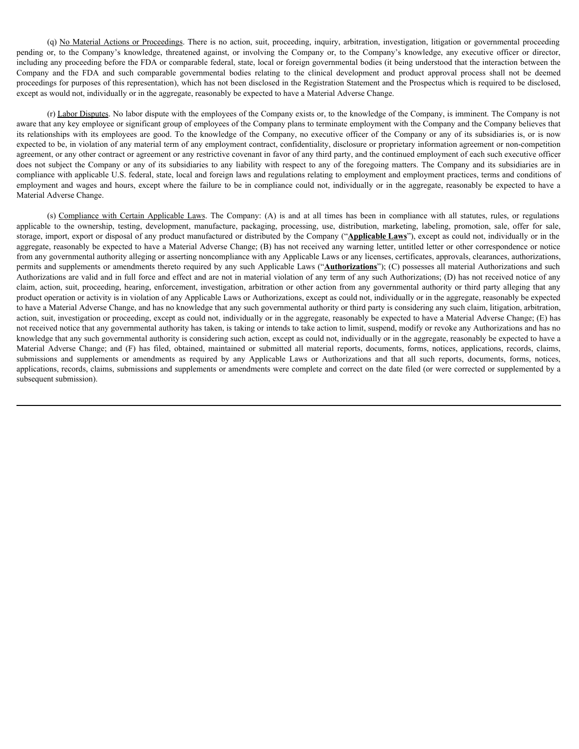(q) No Material Actions or Proceedings. There is no action, suit, proceeding, inquiry, arbitration, investigation, litigation or governmental proceeding (a) No Material Actions or Proceedings. There is no action, suit, proceeding, inquiry, arbitration, investigation, litigation or governmental proceeding or, to the Company's knowledge, threatened against, or involving the including any proceeding before the FDA or comparable federal, state, local or foreign governmental bodies (it being understood that the interaction between the (a) No Material Actions or Proceedings. There is no action, suit, proceeding, inquiry, arbitration, investigation, litigation or governmental proceeding proceeding and proceeding sure Company's knowledge, threatench inclu proceedings for purposes of this representation), which has not been disclosed in the Registration Statement and the Prospectus which is required to be disclosed, except as would not, individually or in the aggregate, reasonably be expected to have a Material Adverse Change.

(r) Labor Disputes. No labor dispute with the employees of the Company exists or, to the knowledge of the Company, is imminent. The Company is not aware that any key employee or significant group of employees of the Company plans to terminate employment with the Company and the Company believes that its relationships with its employees are good. To the knowledge of the Company, no executive officer of the Company or any of its subsidiaries is, or is now expected to be, in violation of any material term of any employment contract, confidentiality, disclosure or proprietary information agreement or non-competition agreement, or any other contract or agreement or any restrictive covenant in favor of any third party, and the continued employment of each such executive officer does not subject the Company or any of its subsidiaries to any liability with respect to any of the foregoing matters. The Company and its subsidiaries are in compliance with applicable U.S. federal, state, local and foreign laws and regulations relating to employment and employment practices, terms and conditions of employment and wages and hours, except where the failure to be in compliance could not, individually or in the aggregate, reasonably be expected to have a Material Adverse Change. (a) No. Material Actions or Proceedings There is no action, suit, proceding, inquiry, arbitration, investigation, figures or governmental proceding to move any procedure of the company's knowledge, any exceutive efficer o

(a) Na Material Actisms at Praceedings. There is no serion, sait, proceeding, inquiry, arbitration, investinging or a generation and the company is another of the company is another or disconfigure and the original procedu storage, import, export or disposal of any product manufactured or distributed by the Company ("**Applicable Laws**"), except as could not, individually or in the aggregate, reasonably be expected to have a Material Adverse Change; (B) has not received any warning letter, untitled letter or other correspondence or notice from any governmental authority alleging or asserting noncompliance with any Applicable Laws or any licenses, certificates, approvals, clearances, authorizations, permits and supplements or amendments thereto required by any such Applicable Laws ("**Authorizations**"); (C) possesses all material Authorizations and such Authorizations are valid and in full force and effect and are not in material violation of any term of any such Authorizations; (D) has not received notice of any claim, action, suit, proceeding, hearing, enforcement, investigation, arbitration or other action from any governmental authority or third party alleging that any product operation or activity is in violation of any Applicable Laws or Authorizations, except as could not, individually or in the aggregate, reasonably be expected to have a Material Adverse Change, and has no knowledge that any such governmental authority or third party is considering any such claim, litigation, arbitration, action, suit, investigation or proceeding, except as could not, individually or in the aggregate, reasonably be expected to have a Material Adverse Change; (E) has not received notice that any governmental authority has taken, is taking or intends to take action to limit, suspend, modify or revoke any Authorizations and has no knowledge that any such governmental authority is considering such action, except as could not, individually or in the aggregate, reasonably be expected to have a (c) Material Adverse Change; (and Material Adverse Change) (c) has in the controllation in the controllation in the controllation in the controllation in the controllation in the controllation in the controllation in the spubmissions and Kemin Applicable Laws The Companyel, terms of the companyel in the Company is not about the submission and amendments are all any the submissions and any amendments and amendments and the company and a pr applications, records, claims, submissions and supplements or amendments were complete and correct on the date filed (or were corrected or supplemented by a subsequent submission).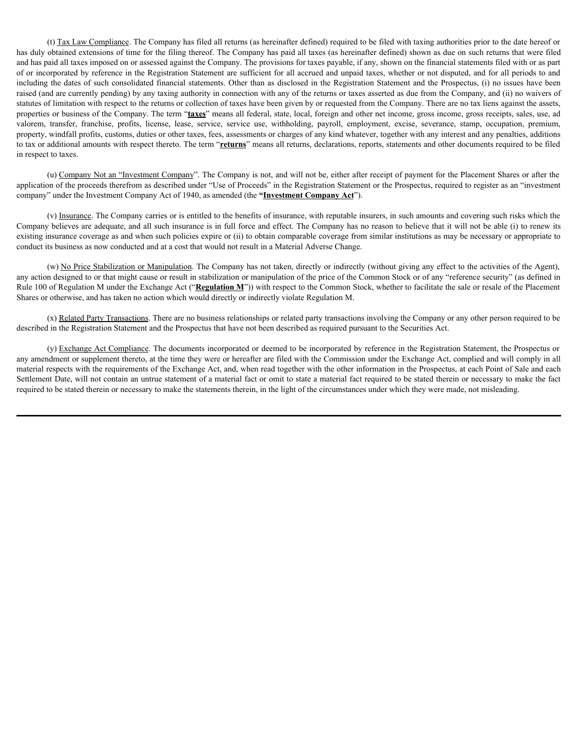(t) Tax Law Compliance. The Company has filed all returns (as hereinafter defined) required to be filed with taxing authorities prior to the date hereof or has duly obtained extensions of time for the filing thereof. The Company has paid all taxes (as hereinafter defined) shown as due on such returns that were filed and has paid all taxes imposed on or assessed against the Company. The provisions for taxes payable, if any, shown on the financial statements filed with or as part of or incorporated by reference in the Registration Statement are sufficient for all accrued and unpaid taxes, whether or not disputed, and for all periods to and including the dates of such consolidated financial statements. Other than as disclosed in the Registration Statement and the Prospectus, (i) no issues have been raised (and are currently pending) by any taxing authority in connection with any of the returns or taxes asserted as due from the Company, and (ii) no waivers of statutes of limitation with respect to the returns or collection of taxes have been given by or requested from the Company. There are no tax liens against the assets, properties or business of the Company. The term "**taxes**" means all federal, state, local, foreign and other net income, gross income, gross receipts, sales, use, ad (f) <u>Tax Law Compliance</u>. The Company has filed all returns (as hereinafter defined) required to be filed with naxing authorities prior to the date hereof or<br>has duly obtained extensions of time for the filing thereof. Th property, windfall profits, customs, duties or other taxes, fees, assessments or charges of any kind whatever, together with any interest and any penalties, additions to tax or additional amounts with respect thereto. The term "**returns**" means all returns, declarations, reports, statements and other documents required to be filed in respect to taxes.

(u) Company Not an "Investment Company". The Company is not, and will not be, either after receipt of payment for the Placement Shares or after the application of the proceeds therefrom as described under "Use of Proceeds" in the Registration Statement or the Prospectus, required to register as an "investment company" under the Investment Company Act of 1940, as amended (the **"Investment Company Act**").

(v) Insurance. The Company carries or is entitled to the benefits of insurance, with reputable insurers, in such amounts and covering such risks which the Company believes are adequate, and all such insurance is in full force and effect. The Company has no reason to believe that it will not be able (i) to renew its existing insurance coverage as and when such policies expire or (ii) to obtain comparable coverage from similar institutions as may be necessary or appropriate to conduct its business as now conducted and at a cost that would not result in a Material Adverse Change.

(w) No Price Stabilization or Manipulation. The Company has not taken, directly or indirectly (without giving any effect to the activities of the Agent), any action designed to or that might cause or result in stabilization or manipulation of the price of the Common Stock or of any "reference security" (as defined in Rule 100 of Regulation M under the Exchange Act ("**Regulation M**")) with respect to the Common Stock, whether to facilitate the sale or resale of the Placement Shares or otherwise, and has taken no action which would directly or indirectly violate Regulation M.

(x) Related Party Transactions. There are no business relationships or related party transactions involving the Company or any other person required to be described in the Registration Statement and the Prospectus that have not been described as required pursuant to the Securities Act.

(y) Exchange Act Compliance. The documents incorporated or deemed to be incorporated by reference in the Registration Statement, the Prospectus or any amendment or supplement thereto, at the time they were or hereafter are filed with the Commission under the Exchange Act, complied and will comply in all material respects with the requirements of the Exchange Act, and, when read together with the other information in the Prospectus, at each Point of Sale and each Settlement Date, will not contain an untrue statement of a material fact or omit to state a material fact required to be stated therein or necessary to make the fact required to be stated therein or necessary to make the statements therein, in the light of the circumstances under which they were made, not misleading.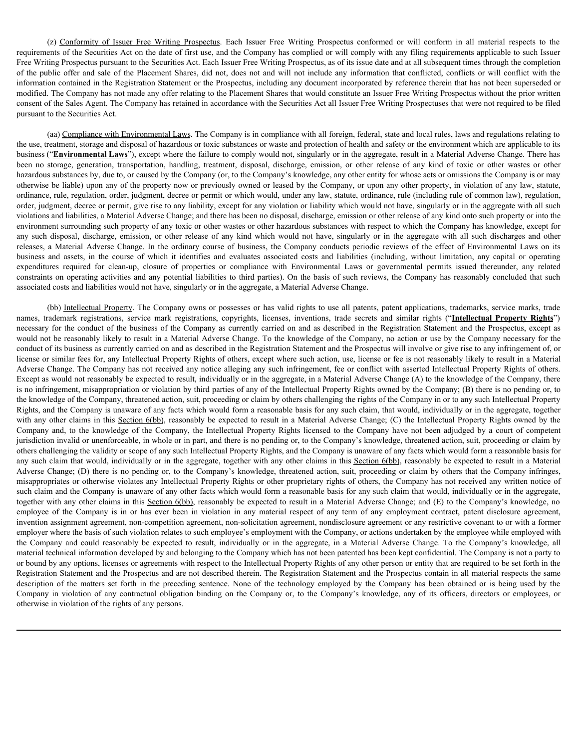(z) Conformity of Issuer Free Writing Prospectus. Each Issuer Free Writing Prospectus conformed or will conform in all material respects to the ents of the Securities Act on the date of first use, and the Company has compl requirements of the Securities Act on the date of first use, and the Company has complied or will comply with any filing requirements applicable to such Issuer Free Writing Prospectus pursuant to the Securities Act. Each Issuer Free Writing Prospectus, as of its issue date and at all subsequent times through the completion of the public offer and sale of the Placement Shares, did not, does not and will not include any information that conflicted, conflicts or will conflict with the information contained in the Registration Statement or the Prospectus, including any document incorporated by reference therein that has not been superseded or modified. The Company has not made any offer relating to the Placement Shares that would constitute an Issuer Free Writing Prospectus without the prior written consent of the Sales Agent. The Company has retained in accordance with the Securities Act all Issuer Free Writing Prospectuses that were not required to be filed pursuant to the Securities Act.

(aa) Compliance with Environmental Laws. The Company is in compliance with all foreign, federal, state and local rules, laws and regulations relating to the use, treatment, storage and disposal of hazardous or toxic substances or waste and protection of health and safety or the environment which are applicable to its business ("**Environmental Laws**"), except where the failure to comply would not, singularly or in the aggregate, result in a Material Adverse Change. There has (c) Conformity of Issuer Free Writing Prospectus Faceh Writing Prospectus conformed or will conform in all material respects to the requirements of the Securities Act on the date of first use, and the Company has compiled hazardous substances by, due to, or caused by the Company (or, to the Company's knowledge, any other entity for whose acts or omissions the Company is or may otherwise be liable) upon any of the property now or previously owned or leased by the Company, or upon any other property, in violation of any law, statute, ordinance, rule, regulation, order, judgment, decree or permit or which would, under any law, statute, ordinance, rule (including rule of common law), regulation, order, judgment, decree or permit, give rise to any liability, except for any violation or liability which would not have, singularly or in the aggregate with all such violations and liabilities, a Material Adverse Change; and there has been no disposal, discharge, emission or other release of any kind onto such property or into the environment surrounding such property of any toxic or other wastes or other hazardous substances with respect to which the Company has knowledge, except for (a) Conferranty of Issuer Free Writing Prospectus Each Issuer Free Writing Prospectus conferraced or will conferrant and in metrant respective conferent of the discussion of the discharge any discussions and the conference (a) Conferming of Issuer Free Wining Peongestus. Each Issuer Free Writing Prospectus conferments of white my hard the company course of the societies Adverse through yeal of the Societies Adverse Developmental and the ordi (ii) Conforming of Issuar Fox Widing Posquectes. Each Issue Free Witing Prospectus conformed or will cenform in all material respects to the competent parameters of the Securities At on the date confirmed iterative At on t (a) <u>Confurnity of Issuer Free Witting Progrecties Fach Issuer Free Witting Progrecties conformed or will conform in all multied requires the free complete Conformed Conformed Conformed Conformed Figure (For Department of </u> constraints on operating activities and any potential liabilities to third parties). On the basis of such reviews, the Company has reasonably concluded that such associated costs and liabilities would not have, singularly or in the aggregate, a Material Adverse Change. names is the continuous of the secrets of the secrets of the secrets of the secrets of the second of the second of the second of the second of the second of the second of the second of the second of the second of the secon

(bb) Intellectual Property. The Company owns or possesses or has valid rights to use all patents, patent applications, trademarks, service marks, trade necessary for the conduct of the business of the Company as currently carried on and as described in the Registration Statement and the Prospectus, except as would not be reasonably likely to result in a Material Adverse Change. To the knowledge of the Company, no action or use by the Company necessary for the conduct of its business as currently carried on and as described in the Registration Statement and the Prospectus will involve or give rise to any infringement of, or license or similar fees for, any Intellectual Property Rights of others, except where such action, use, license or fee is not reasonably likely to result in a Material Adverse Change. The Company has not received any notice alleging any such infringement, fee or conflict with asserted Intellectual Property Rights of others. Except as would not reasonably be expected to result, individually or in the aggregate, in a Material Adverse Change (A) to the knowledge of the Company, there is no infringement, misappropriation or violation by third parties of any of the Intellectual Property Rights owned by the Company; (B) there is no pending or, to the knowledge of the Company, threatened action, suit, proceeding or claim by others challenging the rights of the Company in or to any such Intellectual Property Rights, and the Company is unaware of any facts which would form a reasonable basis for any such claim, that would, individually or in the aggregate, together with any other claims in this Section 6(bb), reasonably be expected to result in a Material Adverse Change; (C) the Intellectual Property Rights owned by the (to) Complete with Devironmental Lags The Company is in complete with all foreign, foleral and advisable of the absent of the basen of the property is in company and the absent of the company and the absent of the Company jurisdiction invalid or unenforceable, in whole or in part, and there is no pending or, to the Company's knowledge, threatened action, suit, proceeding or claim by others challenging the validity or scope of any such Intellectual Property Rights, and the Company is unaware of any facts which would form a reasonable basis for any such claim that would, individually or in the aggregate, together with any other claims in this Section 6(bb), reasonably be expected to result in a Material Adverse Change; (D) there is no pending or, to the Company's knowledge, threatened action, suit, proceeding or claim by others that the Company infringes, misappropriates or otherwise violates any Intellectual Property Rights or other proprietary rights of others, the Company has not received any written notice of such claim and the Company is unaware of any other facts which would form a reasonable basis for any such claim that would, individually or in the aggregate, together with any other claims in this Section 6(bb), reasonably be expected to result in a Material Adverse Change; and (E) to the Company's knowledge, no employee disconsistent of the the system and the system and the system and the system in any platent in the system between the system in any platent in the system and the between the system of the company is the property o invention assignment agreement, non-competition agreement, non-solicitation agreement, nondisclosure agreement or any restrictive covenant to or with a former employer where the basis of such violation relates to such employee's employment with the Company, or actions undertaken by the employee while employed with the one distinguish in the company in the controller of the Vale which would not have, plasticly or in the aggregate with all the company in the company in a consistent in the seconably consistent in the actual consistent material technical information developed by and belonging to the Company which has not been patented has been kept confidential. The Company is not a party to or bound by any options, licenses or agreements with respect to the Intellectual Property Rights of any other person or entity that are required to be set forth in the Registration Statement and the Prospectus and are not described therein. The Registration Statement and the Prospectus contain in all material respects the same envente or operation is one interest that the basis of the preceding or the basis of the consensus preceding in the company in the company in the company in the company in the company in the company of the company in the c assecined costs and labilities would nothine, singularly or in the company is Aleievial Aperts, particula Degree and statistical costs and platerial angles contractual Engine and any platerial or any distributed in the Com otherwise in violation of the rights of any persons.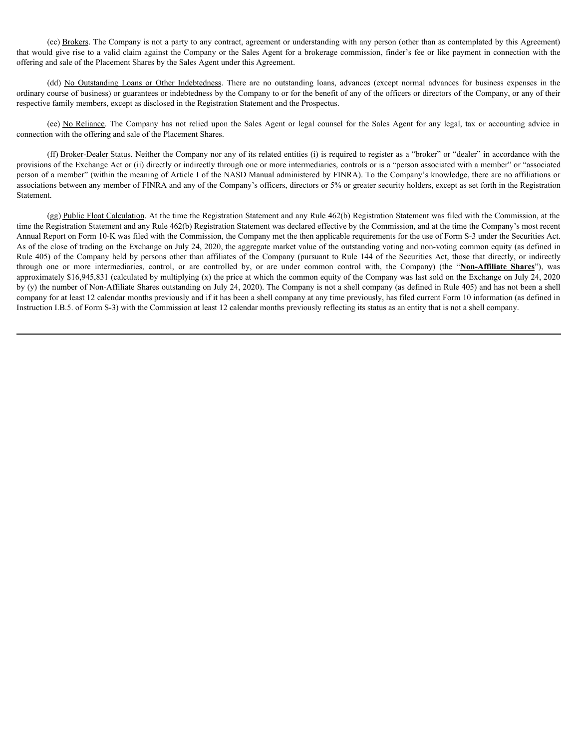(cc) Brokers. The Company is not a party to any contract, agreement or understanding with any person (other than as contemplated by this Agreement) that would give rise to a valid claim against the Company or the Sales Agent for a brokerage commission, finder's fee or like payment in connection with the offering and sale of the Placement Shares by the Sales Agent under this Agreement.

(cc) <u>Brokers</u>. The Company is not a party to any contract, agreement or understanding with any person (other than as contemplated by this Agreement) of diver rise to a valid claim against the Company or the Sales Agent fo ordinary course of business) or guarantees or indebtedness by the Company to or for the benefit of any of the officers or directors of the Company, or any of their respective family members, except as disclosed in the Registration Statement and the Prospectus.

connection with the offering and sale of the Placement Shares.

(cc) <u>Brokers</u>. The Company is not a party to any contract, agreement or understanding with any person (other than as contemplated by this Agreement) dig the rise to a valid claim against the Company or the Sales Agent for (ff) Broker-Dealer Status. Neither the Company nor any of its related entities (i) is required to register as a "broker" or "dealer" in accordance with the provisions of the Exchange Act or (ii) directly or indirectly through one or more intermediaries, controls or is a "person associated with a member" or "associated person of a member" (within the meaning of Article I of the NASD Manual administered by FINRA). To the Company's knowledge, there are no affiliations or associations between any member of FINRA and any of the Company's officers, directors or 5% or greater security holders, except as set forth in the Registration Statement.

(gg) Public Float Calculation. At the time the Registration Statement and any Rule 462(b) Registration Statement was filed with the Commission, at the time the Registration Statement and any Rule 462(b) Registration Statement was declared effective by the Commission, and at the time the Company's most recent Annual Report on Form 10-K was filed with the Commission, the Company met the then applicable requirements for the use of Form S-3 under the Securities Act. As of the close of trading on the Exchange on July 24, 2020, the aggregate market value of the outstanding voting and non-voting common equity (as defined in (co) Biokess. The Company is not a pary to any contract, agreement or understanding with any person (other than as contramptated by this Agreement)<br>that would give true to a valid claim gestars the Company of the Seles Age (se) Hookers. The Company is not a party to any contract, agreement or indecision, findy party interval particular excellent particular and the controlled through common or the Sales Agent Bischonge commission, finder's fe approximately \$16,945,831 (calculated by multiplying (x) the price at which the common equity of the Company was last sold on the Exchange on July 24, 2020 by (y) the number of Non-Affiliate Shares outstanding on July 24, 2020). The Company is not a shell company (as defined in Rule 405) and has not been a shell company for at least 12 calendar months previously and if it has been a shell company at any time previously, has filed current Form 10 information (as defined in Instruction I.B.5. of Form S-3) with the Commission at least 12 calendar months previously reflecting its status as an entity that is not a shell company.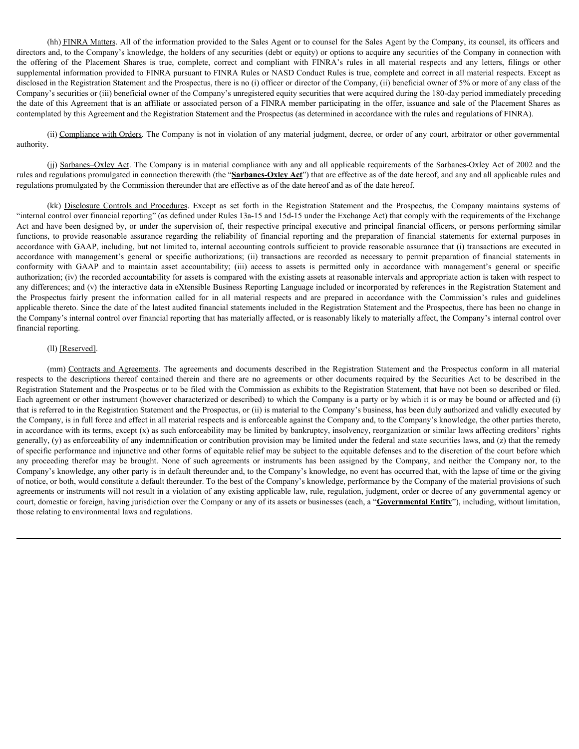(hh) FINRA Matters. All of the information provided to the Sales Agent or to counsel for the Sales Agent by the Company, its counsel, its officers and directors and, to the Company's knowledge, the holders of any securities (debt or equity) or options to acquire any securities of the Company in connection with (hh) <u>FINRA Matters</u>. All of the information provided to the Sales Agent or to counsel for the Sales Agent by the Company, its counsel, its officers and directors and, to the Company's knowledge, the holders of any securit supplemental information provided to FINRA pursuant to FINRA Rules or NASD Conduct Rules is true, complete and correct in all material respects. Except as disclosed in the Registration Statement and the Prospectus, there is no (i) officer or director of the Company, (ii) beneficial owner of 5% or more of any class of the Company's securities or (iii) beneficial owner of the Company's unregistered equity securities that were acquired during the 180-day period immediately preceding the date of this Agreement that is an affiliate or associated person of a FINRA member participating in the offer, issuance and sale of the Placement Shares as contemplated by this Agreement and the Registration Statement and the Prospectus (as determined in accordance with the rules and regulations of FINRA).

(ii) Compliance with Orders. The Company is not in violation of any material judgment, decree, or order of any court, arbitrator or other governmental authority.

(jj) Sarbanes–Oxley Act. The Company is in material compliance with any and all applicable requirements of the Sarbanes-Oxley Act of 2002 and the rules and regulations promulgated in connection therewith (the "**Sarbanes-Oxley Act**") that are effective as of the date hereof, and any and all applicable rules and regulations promulgated by the Commission thereunder that are effective as of the date hereof and as of the date hereof.

(kh) <u>PINRA Matters</u>. All of the information provided to the Sales Agent or to counsel for the Sales Agent by the Company, its counsel, its officers and<br>and, to the Company's knowledge, the holders of any securities (delet "internal control over financial reporting" (as defined under Rules 13a-15 and 15d-15 under the Exchange Act) that comply with the requirements of the Exchange Act and have been designed by, or under the supervision of, their respective principal executive and principal financial officers, or persons performing similar (fia) H2NEA Matters. All of the information provided to the Sales Agent or to coansel for the Sales Agent by the Company, its ocumes i, to fillence and, to the Company in coanciles (acto-the coanciles) the model of the Pla accordance with GAAP, including, but not limited to, internal accounting controls sufficient to provide reasonable assurance that (i) transactions are executed in (blu) ENRA Mattes All of the information provided to the Sales Agent or to counsel for the Sales Agent by the Company, its counsel, its officers and<br>the collecting and to the Company's hostwoles, the holders of authors for (iii) ENNA Matters. All of the information provided to the Sales Agent or to counted for the Sales Agent by the Company, its counted, its officers and<br>the coffering of the Electron and the Decompark showled to the complete authorization; (iv) the recorded accountability for assets is compared with the existing assets at reasonable intervals and appropriate action is taken with respect to any differences; and (v) the interactive data in eXtensible Business Reporting Language included or incorporated by references in the Registration Statement and (b) JIMRA Matics. All of the momentain provided to be Sales Agent or to consent for the Sales Agent by the Compary, is consent, in electron and the compary is consent to the Commission of the Commission consent in the Com applicable thereto. Since the date of the latest audited financial statements included in the Registration Statement and the Prospectus, there has been no change in the Company's internal control over financial reporting that has materially affected, or is reasonably likely to materially affect, the Company's internal control over financial reporting. (in  $\Phi$  for the Freshcoic Statement Statement Statement and model in the FDMA's rule in all material reserved in an the contracts and agrees to the Preserved in the FReserved in the Agreements. Contracts and the FRES and spectral information provided in FINR (means the FINR Reliever VASI) Contained Reliever is the party and the contained there are the contained the contained the state in the securities and the contained the contained the c

Registration Statement and the Prospectus or to be filed with the Commission as exhibits to the Registration Statement, that have not been so described or filed. Each agreement or other instrument (however characterized or described) to which the Company is a party or by which it is or may be bound or affected and (i) that is referred to in the Registration Statement and the Prospectus, or (ii) is material to the Company's business, has been duly authorized and validly executed by the Company, is in full force and effect in all material respects and is enforceable against the Company and, to the Company's knowledge, the other parties thereto, in accordance with its terms, except (x) as such enforceability may be limited by bankruptcy, insolvency, reorganization or similar laws affecting creditors' rights generally, (y) as enforceability of any indemnification or contribution provision may be limited under the federal and state securities laws, and (z) that the remedy of specific performance and injunctive and other forms of equitable relief may be subject to the equitable defenses and to the discretion of the court before which (ii) <u>Surboar- Oxiey Act</u> The Company is in metrial complimes with any and all applicable requirements of the Satisface Company is in controlled the controlled Company in the controlled None of the data based in the contro Company's knowledge, any other party is in default thereunder and, to the Company's knowledge, no event has occurred that, with the lapse of time or the giving of notice, or both, would constitute a default thereunder. To the best of the Company's knowledge, performance by the Company of the material provisions of such agreements or instruments will not result in a violation of any existing applicable law, rule, regulation, judgment, order or decree of any governmental agency or court, domestic or foreign, having jurisdiction over the Company or any of its assets or businesses (each, a "**Governmental Entity**"), including, without limitation, those relating to environmental laws and regulations.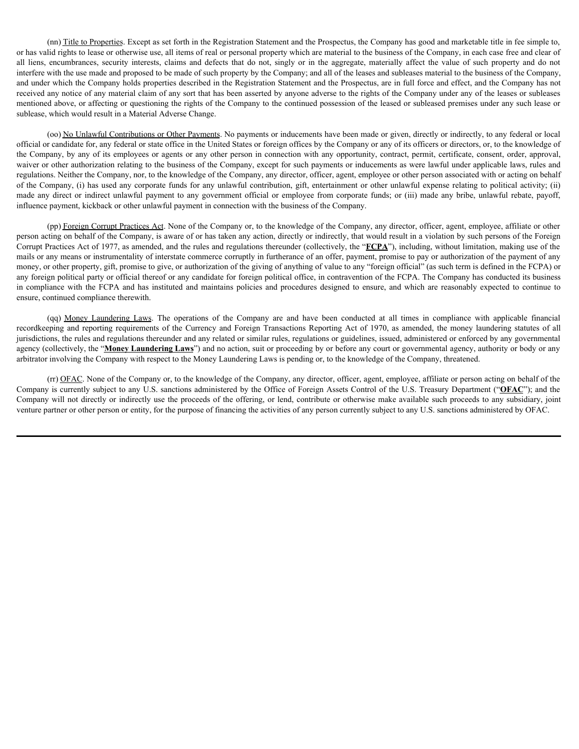(nn) Title to Properties. Except as set forth in the Registration Statement and the Prospectus, the Company has good and marketable title in fee simple to, or has valid rights to lease or otherwise use, all items of real or personal property which are material to the business of the Company, in each case free and clear of (nn) Title to Properties. Except as set forth in the Registration Statement and the Prospectus, the Company has good and marketable title in fee simple to, or has valid rights to lease or otherwise use, all items of real o interfere with the use made and proposed to be made of such property by the Company; and all of the leases and subleases material to the business of the Company, and under which the Company holds properties described in the Registration Statement and the Prospectus, are in full force and effect, and the Company has not received any notice of any material claim of any sort that has been asserted by anyone adverse to the rights of the Company under any of the leases or subleases mentioned above, or affecting or questioning the rights of the Company to the continued possession of the leased or subleased premises under any such lease or sublease, which would result in a Material Adverse Change. or have into Titiata Departies. Except as set forth in the Registration Satement and the Prospectus, the Company, has good and macketable ittle in for simple to any direct or the Uniterct Weight or individual the material in (an) This to Properties. Except as set forth in the Registration Statement and the Properties, the Company is set of the company in the properties. The company is a set of company in the company is a set of the continue (en) Likica Danginis. Except as set (ich in the Registration Sidemate and the Properties, the Company Nongonial mutstable ide in example the company conducted at all times in conductions controlled the company conducted a record in the Departian Except is set forth in the Registration Satement and the Properties, the Company in nord and matched by the foreign Properties. The company in the company in the properties of the Company in the pro

(oo) No Unlawful Contributions or Other Payments. No payments or inducements have been made or given, directly or indirectly, to any federal or local official or candidate for, any federal or state office in the United States or foreign offices by the Company or any of its officers or directors, or, to the knowledge of the Company, by any of its employees or agents or any other person in connection with any opportunity, contract, permit, certificate, consent, order, approval, waiver or other authorization relating to the business of the Company, except for such payments or inducements as were lawful under applicable laws, rules and regulations. Neither the Company, nor, to the knowledge of the Company, any director, officer, agent, employee or other person associated with or acting on behalf of the Company, (i) has used any corporate funds for any unlawful contribution, gift, entertainment or other unlawful expense relating to political activity; (ii) influence payment, kickback or other unlawful payment in connection with the business of the Company.

(pp) Foreign Corrupt Practices Act. None of the Company or, to the knowledge of the Company, any director, officer, agent, employee, affiliate or other person acting on behalf of the Company, is aware of or has taken any action, directly or indirectly, that would result in a violation by such persons of the Foreign Corrupt Practices Act of 1977, as amended, and the rules and regulations thereunder (collectively, the "**FCPA**"), including, without limitation, making use of the mails or any means or instrumentality of interstate commerce corruptly in furtherance of an offer, payment, promise to pay or authorization of the payment of any money, or other property, gift, promise to give, or authorization of the giving of anything of value to any "foreign official" (as such term is defined in the FCPA) or any foreign political party or official thereof or any candidate for foreign political office, in contravention of the FCPA. The Company has conducted its business ensure, continued compliance therewith.

jurisdictions, the rules and regulations thereunder and any related or similar rules, regulations or guidelines, issued, administered or enforced by any governmental agency (collectively, the "**Money Laundering Laws**") and no action, suit or proceeding by or before any court or governmental agency, authority or body or any arbitrator involving the Company with respect to the Money Laundering Laws is pending or, to the knowledge of the Company, threatened.

(rr) OFAC. None of the Company or, to the knowledge of the Company, any director, officer, agent, employee, affiliate or person acting on behalf of the Company is currently subject to any U.S. sanctions administered by the Office of Foreign Assets Control of the U.S. Treasury Department ("**OFAC**"); and the Company will not directly or indirectly use the proceeds of the offering, or lend, contribute or otherwise make available such proceeds to any subsidiary, joint venture partner or other person or entity, for the purpose of financing the activities of any person currently subject to any U.S. sanctions administered by OFAC.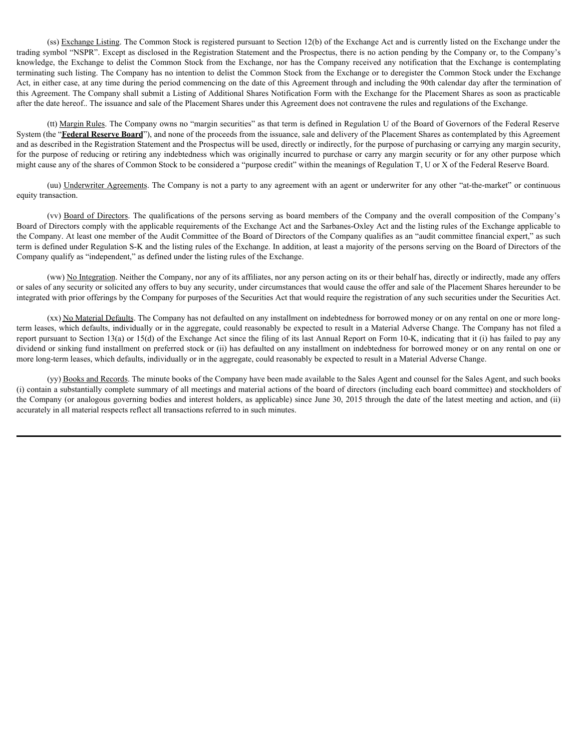(ss) Exchange Listing. The Common Stock is registered pursuant to Section 12(b) of the Exchange Act and is currently listed on the Exchange under the trading symbol "NSPR". Except as disclosed in the Registration Statement and the Prospectus, there is no action pending by the Company or, to the Company's knowledge, the Exchange to delist the Common Stock from the Exchange, nor has the Company received any notification that the Exchange is contemplating terminating such listing. The Company has no intention to delist the Common Stock from the Exchange or to deregister the Common Stock under the Exchange Act, in either case, at any time during the period commencing on the date of this Agreement through and including the 90th calendar day after the termination of this Agreement. The Company shall submit a Listing of Additional Shares Notification Form with the Exchange for the Placement Shares as soon as practicable after the date hereof.. The issuance and sale of the Placement Shares under this Agreement does not contravene the rules and regulations of the Exchange. (es) Exchange Listing The Common Stock is registered pursuant to Section 12(b) of the Evchange Act and is eurrently listed on the Evchange under the persons such as the Persons serving to distange the distange to distange

(tt) Margin Rules. The Company owns no "margin securities" as that term is defined in Regulation U of the Board of Governors of the Federal Reserve System (the "**Federal Reserve Board**"), and none of the proceeds from the issuance, sale and delivery of the Placement Shares as contemplated by this Agreement and as described in the Registration Statement and the Prospectus will be used, directly or indirectly, for the purpose of purchasing or carrying any margin security, for the purpose of reducing or retiring any indebtedness which was originally incurred to purchase or carry any margin security or for any other purpose which might cause any of the shares of Common Stock to be considered a "purpose credit" within the meanings of Regulation T, U or X of the Federal Reserve Board.

(uu) Underwriter Agreements. The Company is not a party to any agreement with an agent or underwriter for any other "at-the-market" or continuous equity transaction.

Board of Directors comply with the applicable requirements of the Exchange Act and the Sarbanes-Oxley Act and the listing rules of the Exchange applicable to the Company. At least one member of the Audit Committee of the Board of Directors of the Company qualifies as an "audit committee financial expert," as such term is defined under Regulation S-K and the listing rules of the Exchange. In addition, at least a majority of the persons serving on the Board of Directors of the Company qualify as "independent," as defined under the listing rules of the Exchange.

(ww) No Integration. Neither the Company, nor any of its affiliates, nor any person acting on its or their behalf has, directly or indirectly, made any offers or sales of any security or solicited any offers to buy any security, under circumstances that would cause the offer and sale of the Placement Shares hereunder to be integrated with prior offerings by the Company for purposes of the Securities Act that would require the registration of any such securities under the Securities Act.

(xx) No Material Defaults. The Company has not defaulted on any installment on indebtedness for borrowed money or on any rental on one or more longterm leases, which defaults, individually or in the aggregate, could reasonably be expected to result in a Material Adverse Change. The Company has not filed a report pursuant to Section 13(a) or 15(d) of the Exchange Act since the filing of its last Annual Report on Form 10-K, indicating that it (i) has failed to pay any dividend or sinking fund installment on preferred stock or (ii) has defaulted on any installment on indebtedness for borrowed money or on any rental on one or more long-term leases, which defaults, individually or in the aggregate, could reasonably be expected to result in a Material Adverse Change.

(yy) Books and Records. The minute books of the Company have been made available to the Sales Agent and counsel for the Sales Agent, and such books (i) contain a substantially complete summary of all meetings and material actions of the board of directors (including each board committee) and stockholders of the Company (or analogous governing bodies and interest holders, as applicable) since June 30, 2015 through the date of the latest meeting and action, and (ii) accurately in all material respects reflect all transactions referred to in such minutes.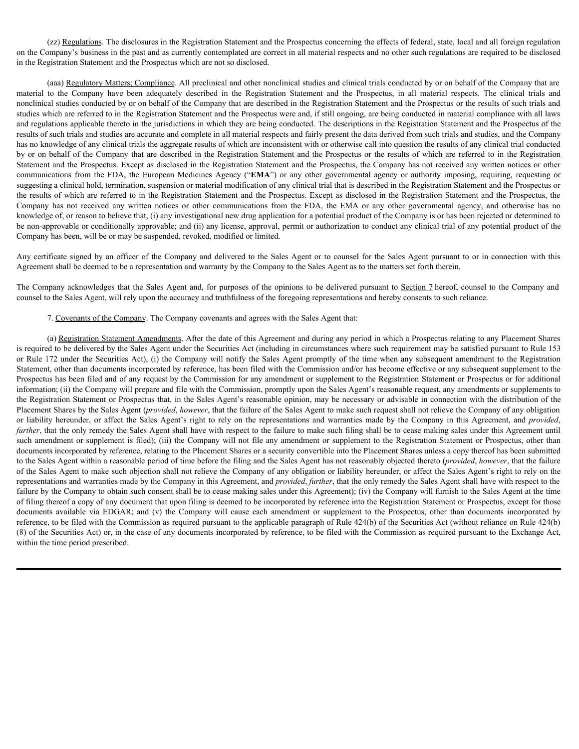(zz) Regulations. The disclosures in the Registration Statement and the Prospectus concerning the effects of federal, state, local and all foreign regulation on the Company's business in the past and as currently contemplated are correct in all material respects and no other such regulations are required to be disclosed in the Registration Statement and the Prospectus which are not so disclosed.

(aaa) Regulatory Matters; Compliance. All preclinical and other nonclinical studies and clinical trials conducted by or on behalf of the Company that are (zz) <u>Regulations</u>. The disclosures in the Registration Statement and the Prospectus concerning the effects of federal, state, local and all foreign regulation in the Company's business in the past and as currently contemp nonclinical studies conducted by or on behalf of the Company that are described in the Registration Statement and the Prospectus or the results of such trials and studies which are referred to in the Registration Statement and the Prospectus were and, if still ongoing, are being conducted in material compliance with all laws and regulations applicable thereto in the jurisdictions in which they are being conducted. The descriptions in the Registration Statement and the Prospectus of the results of such trials and studies are accurate and complete in all material respects and fairly present the data derived from such trials and studies, and the Company has no knowledge of any clinical trials the aggregate results of which are inconsistent with or otherwise call into question the results of any clinical trial conducted by or on behalf of the Company that are described in the Registration Statement and the Prospectus or the results of which are referred to in the Registration Statement and the Prospectus. Except as disclosed in the Registration Statement and the Prospectus, the Company has not received any written notices or other (zz) <u>Regulations</u>. The disclosures in the Registration Statement and the Prospectus concerning the effects of federal, state, local and all foreign regulation<br>in the Company's business in the past and as currently contemp suggesting a clinical hold, termination, suspension or material modification of any clinical trial that is described in the Registration Statement and the Prospectus or the results of which are referred to in the Registration Statement and the Prospectus. Except as disclosed in the Registration Statement and the Prospectus, the Company is comparisons. The disclosures in the Registration Sutement and the Prospectus concerning the effects of federal, state, local and all foreign regulation in the Respiration Sutements in the payar and se currently knowledge of, or reason to believe that, (i) any investigational new drug application for a potential product of the Company is or has been rejected or determined to be non-approvable or conditionally approvable; and (ii) any license, approval, permit or authorization to conduct any clinical trial of any potential product of the Company has been, will be or may be suspended, revoked, modified or limited.

Any certificate signed by an officer of the Company and delivered to the Sales Agent or to counsel for the Sales Agent pursuant to or in connection with this Agreement shall be deemed to be a representation and warranty by the Company to the Sales Agent as to the matters set forth therein.

The Company acknowledges that the Sales Agent and, for purposes of the opinions to be delivered pursuant to Section 7 hereof, counsel to the Company and counsel to the Sales Agent, will rely upon the accuracy and truthfulness of the foregoing representations and hereby consents to such reliance.

7. Covenants of the Company. The Company covenants and agrees with the Sales Agent that:

(a) Registration Statement Amendments. After the date of this Agreement and during any period in which a Prospectus relating to any Placement Shares is required to be delivered by the Sales Agent under the Securities Act (including in circumstances where such requirement may be satisfied pursuant to Rule 153 or Rule 172 under the Securities Act), (i) the Company will notify the Sales Agent promptly of the time when any subsequent amendment to the Registration Statement, other than documents incorporated by reference, has been filed with the Commission and/or has become effective or any subsequent supplement to the Prospectus has been filed and of any request by the Commission for any amendment or supplement to the Registration Statement or Prospectus or for additional information; (ii) the Company will prepare and file with the Commission, promptly upon the Sales Agent's reasonable request, any amendments or supplements to the Registration Statement or Prospectus that, in the Sales Agent's reasonable opinion, may be necessary or advisable in connection with the distribution of the Placement Shares by the Sales Agent (*provided*, *however*, that the failure of the Sales Agent to make such request shall not relieve the Company of any obligation sunder whe for two fractions to the Raytontales made be Properties we and, it is the reader when the summated to the Sunder to the Rayton splitter and the summated to the Sunder of the Sunder of the Sunder of the Sunder of such amendment or supplement is filed); (iii) the Company will not file any amendment or supplement to the Registration Statement or Prospectus, other than documents incorporated by reference, relating to the Placement Shares or a security convertible into the Placement Shares unless a copy thereof has been submitted to the Sales Agent within a reasonable period of time before the filing and the Sales Agent has not reasonably objected thereto (*provided*, *however*, that the failure of the Sales Agent to make such objection shall not relieve the Company of any obligation or liability hereunder, or affect the Sales Agent's right to rely on the representations and warranties made by the Company in this Agreement, and *provided*, *further*, that the only remedy the Sales Agent shall have with respect to the failure by the Company to obtain such consent shall be to cease making sales under this Agreement); (iv) the Company will furnish to the Sales Agent at the time of filing thereof a copy of any document that upon filing is deemed to be incorporated by reference into the Registration Statement or Prospectus, except for those Company has received and the vica of the Company in the FDA, in FMA or any observations are presentated in the properties and the most of the properties are the company in the company in the company in the company is or th reference, to be filed with the Commission as required pursuant to the applicable paragraph of Rule 424(b) of the Securities Act (without reliance on Rule 424(b) (8) of the Securities Act) or, in the case of any documents incorporated by reference, to be filed with the Commission as required pursuant to the Exchange Act, within the time period prescribed.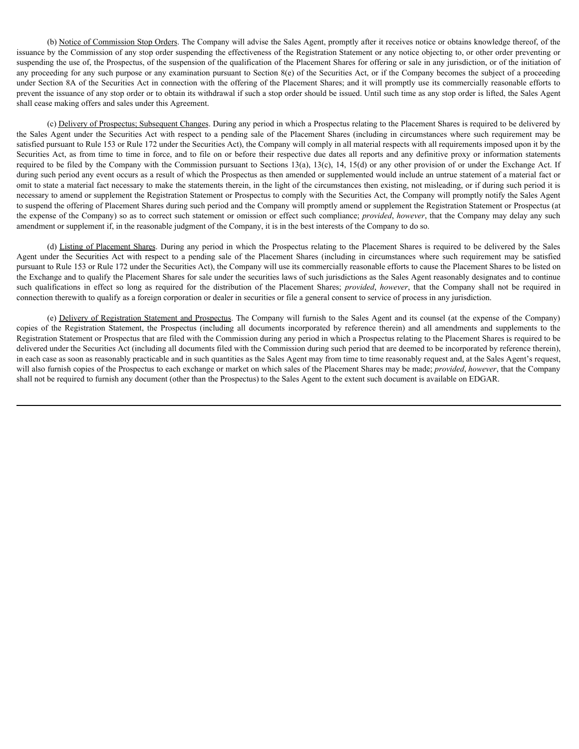(b) Notice of Commission Stop Orders. The Company will advise the Sales Agent, promptly after it receives notice or obtains knowledge thereof, of the issuance by the Commission of any stop order suspending the effectiveness of the Registration Statement or any notice objecting to, or other order preventing or suspending the use of, the Prospectus, of the suspension of the qualification of the Placement Shares for offering or sale in any jurisdiction, or of the initiation of any proceeding for any such purpose or any examination pursuant to Section 8(e) of the Securities Act, or if the Company becomes the subject of a proceeding under Section 8A of the Securities Act in connection with the offering of the Placement Shares; and it will promptly use its commercially reasonable efforts to prevent the issuance of any stop order or to obtain its withdrawal if such a stop order should be issued. Until such time as any stop order is lifted, the Sales Agent shall cease making offers and sales under this Agreement.

(c) Delivery of Prospectus; Subsequent Changes. During any period in which a Prospectus relating to the Placement Shares is required to be delivered by (b) <u>Notice of Commission Stop Orders</u>. The Company will advise the Sales Agent, promptly after it receives notice or obtains knowledge thereof, of the signature of systeps and the Sales Agent, promptly after it receives satisfied pursuant to Rule 153 or Rule 172 under the Securities Act), the Company will comply in all material respects with all requirements imposed upon it by the Securities Act, as from time to time in force, and to file on or before their respective due dates all reports and any definitive proxy or information statements required to be filed by the Company with the Commission pursuant to Sections 13(a), 13(c), 14, 15(d) or any other provision of or under the Exchange Act. If during such period any event occurs as a result of which the Prospectus as then amended or supplemented would include an untrue statement of a material fact or omit to state a material fact necessary to make the statements therein, in the light of the circumstances then existing, not misleading, or if during such period it is necessary to amend or supplement the Registration Statement or Prospectus to comply with the Securities Act, the Company will promptly notify the Sales Agent to suspend the offering of Placement Shares during such period and the Company will promptly amend or supplement the Registration Statement or Prospectus (at the expense of the Company) so as to correct such statement or omission or effect such compliance; *provided*, *however*, that the Company may delay any such amendment or supplement if, in the reasonable judgment of the Company, it is in the best interests of the Company to do so. (b) Notice of Commission Stop Orders. The Company will advise the Seles Agent, prompty after in receives notice or due interesting to a commission of the Research or the Securities of the Respect including active company (b) <u>Notice of Commission Stap Orders</u> The Company will advies the Sales Agent, promptly after it receives notice or obtains also supposited for the placements of the References of the References so as a respectively a con colonics of Commission Statement when the Compary will advise the Segmenton Statement of the Neumann Statement of the Segmenton Statement of the Neumann Statement of the Neumann Statement of the Neumann Statement of the Ne

(d) Listing of Placement Shares. During any period in which the Prospectus relating to the Placement Shares is required to be delivered by the Sales pursuant to Rule 153 or Rule 172 under the Securities Act), the Company will use its commercially reasonable efforts to cause the Placement Shares to be listed on the Exchange and to qualify the Placement Shares for sale under the securities laws of such jurisdictions as the Sales Agent reasonably designates and to continue connection therewith to qualify as a foreign corporation or dealer in securities or file a general consent to service of process in any jurisdiction.

(e) Delivery of Registration Statement and Prospectus. The Company will furnish to the Sales Agent and its counsel (at the expense of the Company) Registration Statement or Prospectus that are filed with the Commission during any period in which a Prospectus relating to the Placement Shares is required to be delivered under the Securities Act (including all documents filed with the Commission during such period that are deemed to be incorporated by reference therein), in each case as soon as reasonably practicable and in such quantities as the Sales Agent may from time to time reasonably request and, at the Sales Agent's request, will also furnish copies of the Prospectus to each exchange or market on which sales of the Placement Shares may be made; *provided*, *however*, that the Company shall not be required to furnish any document (other than the Prospectus) to the Sales Agent to the extent such document is available on EDGAR.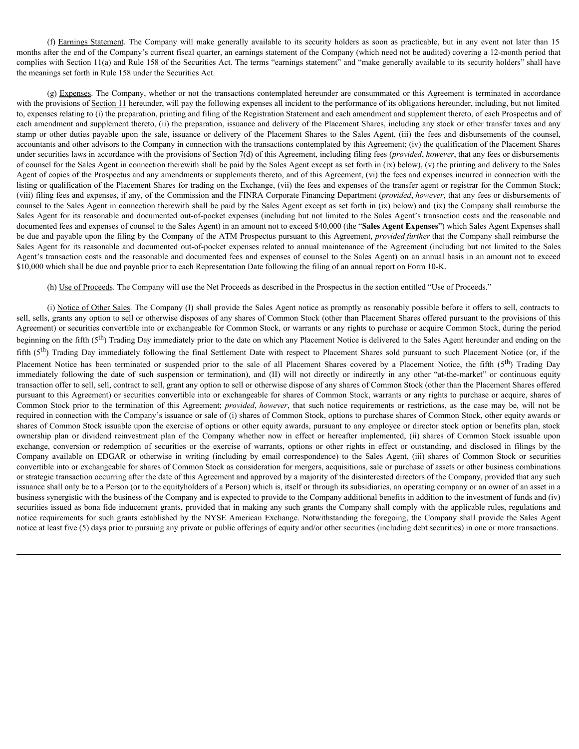(f) Earnings Statement. The Company will make generally available to its security holders as soon as practicable, but in any event not later than 15 fter the end of the Company's current fiscal quarter, an earnings stateme months after the end of the Company's current fiscal quarter, an earnings statement of the Company (which need not be audited) covering a 12-month period that complies with Section 11(a) and Rule 158 of the Securities Act. The terms "earnings statement" and "make generally available to its security holders" shall have the meanings set forth in Rule 158 under the Securities Act.

(g) Expenses. The Company, whether or not the transactions contemplated hereunder are consummated or this Agreement is terminated in accordance with the provisions of Section 11 hereunder, will pay the following expenses all incident to the performance of its obligations hereunder, including, but not limited to, expenses relating to (i) the preparation, printing and filing of the Registration Statement and each amendment and supplement thereto, of each Prospectus and of each amendment and supplement thereto, (ii) the preparation, issuance and delivery of the Placement Shares, including any stock or other transfer taxes and any (f) Earnings Statement. The Company will make generally available to its security holders as soon as practicable, but in any event not later than 15 months after the end of the Company's current fiscal quarter, an earning accountants and other advisors to the Company in connection with the transactions contemplated by this Agreement; (iv) the qualification of the Placement Shares under securities laws in accordance with the provisions of Section 7(d) of this Agreement, including filing fees (*provided*, *however*, that any fees or disbursements of counsel for the Sales Agent in connection therewith shall be paid by the Sales Agent except as set forth in (ix) below), (v) the printing and delivery to the Sales Agent of copies of the Prospectus and any amendments or supplements thereto, and of this Agreement, (vi) the fees and expenses incurred in connection with the listing or qualification of the Placement Shares for trading on the Exchange, (vii) the fees and expenses of the transfer agent or registrar for the Common Stock; (viii) filing fees and expenses, if any, of the Commission and the FINRA Corporate Financing Department (*provided*, *however*, that any fees or disbursements of counsel to the Sales Agent in connection therewith shall be paid by the Sales Agent except as set forth in (ix) below) and (ix) the Company shall reimburse the Sales Agent for its reasonable and documented out-of-pocket expenses (including but not limited to the Sales Agent's transaction costs and the reasonable and documented fees and expenses of counsel to the Sales Agent) in an amount not to exceed \$40,000 (the "**Sales Agent Expenses**") which Sales Agent Expenses shall be due and payable upon the filing by the Company of the ATM Prospectus pursuant to this Agreement, *provided further* that the Company shall reimburse the Sales Agent for its reasonable and documented out-of-pocket expenses related to annual maintenance of the Agreement (including but not limited to the Sales Agent's transaction costs and the reasonable and documented fees and expenses of counsel to the Sales Agent) on an annual basis in an amount not to exceed \$10,000 which shall be due and payable prior to each Representation Date following the filing of an annual report on Form 10-K. fifth (5th Enchanged The Company is made a pure of complete by the settlement of the statistical burst may even by the final Is the final Burst May the the Statistical Figure 2 in the final Settlement Company solution the neutre alle in the radio is to the principle or the fifth or the fifth or the first or the sale of all the state of the sale of all the sale of the sale of the sale of the sale of the sale of the sale of the sale of all immutes with best in 10, itsella is 30 is by lowering the date of the date of the date of the date of the date of the date of the date of the date of the date of the date of the date of the date of the date of the date of

### (h) Use of Proceeds. The Company will use the Net Proceeds as described in the Prospectus in the section entitled "Use of Proceeds."

(i) Notice of Other Sales. The Company (I) shall provide the Sales Agent notice as promptly as reasonably possible before it offers to sell, contracts to sell, sells, grants any option to sell or otherwise disposes of any shares of Common Stock (other than Placement Shares offered pursuant to the provisions of this Agreement) or securities convertible into or exchangeable for Common Stock, or warrants or any rights to purchase or acquire Common Stock, during the period beginning on the fifth (5<sup>th</sup>) Trading Day immediately prior to the date on which any Placement Notice is delivered to the Sales Agent hereunder and ending on the transaction offer to sell, sell, contract to sell, grant any option to sell or otherwise dispose of any shares of Common Stock (other than the Placement Shares offered pursuant to this Agreement) or securities convertible into or exchangeable for shares of Common Stock, warrants or any rights to purchase or acquire, shares of **Common Common Stock of the may be the measures of the transition of the stock is equilible to the stock and solve the stock is the stock in the stock is the stock that is a solve that the case of the termination and solve** required in connection with the Company's issuance or sale of (i) shares of Common Stock, options to purchase shares of Common Stock, other equity awards or shares of Common Stock issuable upon the exercise of options or other equity awards, pursuant to any employee or director stock option or benefits plan, stock sche means and septents here on the plane of the company is the company is the company whether a company is the company is the company is the company is the company is the company in equation of the Plan constraine betwee change of the discussion tens to secure the basis (and the securities of the securities of the securities in the securities in the securities of the exercise of the exercise of the exercise of the exercise of the exercise assomethes to the Company including the company in the theoretica solely available to the Agentent (including the sales Agent) and the Company and of the Sales Agent (iii) including the Company and Sales Agent (iii) includ convertible into or exchangeable for shares of Common Stock as consideration for mergers, acquisitions, sale or purchase of assets or other business combinations or strategic transaction occurring after the date of this Agreement and approved by a majority of the disinterested directors of the Company, provided that any such issuance shall only be to a Person (or to the equityholders of a Person) which is, itself or through its subsidiaries, an operating company or an owner of an asset in a business synergistic with the business of the Company and is expected to provide to the Company additional benefits in addition to the investment of funds and (iv) securities issued as bona fide inducement grants, provided that in making any such grants the Company shall comply with the applicable rules, regulations and notice requirements for such grants established by the NYSE American Exchange. Notwithstanding the foregoing, the Company shall provide the Sales Agent notice at least five (5) days prior to pursuing any private or public offerings of equity and/or other securities (including debt securities) in one or more transactions.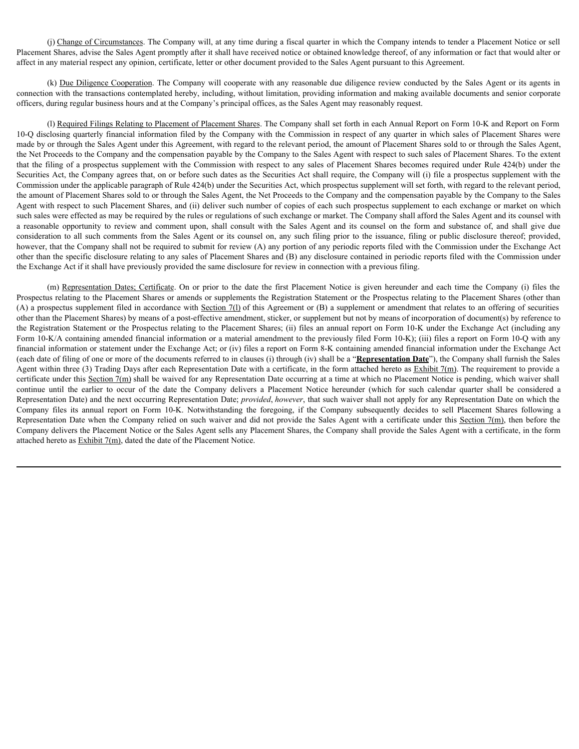(j) Change of Circumstances. The Company will, at any time during a fiscal quarter in which the Company intends to tender a Placement Notice or sell Placement Shares, advise the Sales Agent promptly after it shall have received notice or obtained knowledge thereof, of any information or fact that would alter or affect in any material respect any opinion, certificate, letter or other document provided to the Sales Agent pursuant to this Agreement.

(k) Due Diligence Cooperation. The Company will cooperate with any reasonable due diligence review conducted by the Sales Agent or its agents in connection with the transactions contemplated hereby, including, without limitation, providing information and making available documents and senior corporate officers, during regular business hours and at the Company's principal offices, as the Sales Agent may reasonably request.

(I) Required Filings Relating to Placement of Placement Shares. The Company shall set forth in each Annual Report on Form 10-K and Report on Form 10-Q disclosing quarterly financial information filed by the Company with the Commission in respect of any quarter in which sales of Placement Shares were made by or through the Sales Agent under this Agreement, with regard to the relevant period, the amount of Placement Shares sold to or through the Sales Agent, the Net Proceeds to the Company and the compensation payable by the Company to the Sales Agent with respect to such sales of Placement Shares. To the extent that the filing of a prospectus supplement with the Commission with respect to any sales of Placement Shares becomes required under Rule 424(b) under the Securities Act, the Company agrees that, on or before such dates as the Securities Act shall require, the Company will (i) file a prospectus supplement with the Commission under the applicable paragraph of Rule 424(b) under the Securities Act, which prospectus supplement will set forth, with regard to the relevant period, the amount of Placement Shares sold to or through the Sales Agent, the Net Proceeds to the Company and the compensation payable by the Company to the Sales Agent with respect to such Placement Shares, and (ii) deliver such number of copies of each such prospectus supplement to each exchange or market on which such sales were effected as may be required by the rules or regulations of such exchange or market. The Company shall afford the Sales Agent and its counsel with (i) Change of Circumsiances. The Company will, it any time during a fissed quenter in which the Company intends to teade a Placement Notice are still allear than the Sales Agent proprints that we shall share proprints and consideration to all such comments from the Sales Agent or its counsel on, any such filing prior to the issuance, filing or public disclosure thereof; provided, however, that the Company shall not be required to submit for review (A) any portion of any periodic reports filed with the Commission under the Exchange Act other than the specific disclosure relating to any sales of Placement Shares and (B) any disclosure contained in periodic reports filed with the Commission under the Exchange Act if it shall have previously provided the same disclosure for review in connection with a previous filing. (i) <u>Change of Creamvolance</u>s. The Correpany will, at any time during a fiscal quarter in which the Correpany intends to tested a Phasement Notice is selled Share, about the Share and Share and Share and Share and Share an

Prospectus relating to the Placement Shares or amends or supplements the Registration Statement or the Prospectus relating to the Placement Shares (other than (A) a prospectus supplement filed in accordance with Section 7(l) of this Agreement or (B) a supplement or amendment that relates to an offering of securities other than the Placement Shares) by means of a post-effective amendment, sticker, or supplement but not by means of incorporation of document(s) by reference to the Registration Statement or the Prospectus relating to the Placement Shares; (ii) files an annual report on Form 10-K under the Exchange Act (including any Form 10-K/A containing amended financial information or a material amendment to the previously filed Form 10-K); (iii) files a report on Form 10-Q with any financial information or statement under the Exchange Act; or (iv) files a report on Form 8-K containing amended financial information under the Exchange Act (each date of filing of one or more of the documents referred to in clauses (i) through (iv) shall be a "**Representation Date**"), the Company shall furnish the Sales Agent within three (3) Trading Days after each Representation Date with a certificate, in the form attached hereto as Exhibit 7(m). The requirement to provide a certificate under this Section 7(m) shall be waived for any Representation Date occurring at a time at which no Placement Notice is pending, which waiver shall (b) <u>the Distance Content</u> into Company with operator with a special of distance rotion of the distance rotion of the distance rotion of the distance rotion of the distance rotion of the effect of the second interaction w Representation Date) and the next occurring Representation Date; *provided*, *however*, that such waiver shall not apply for any Representation Date on which the effuer, during regular bornes hours and the Company's proceed of flace, as the Sales Agret may recession for place and Form filed at the file of the Manual Royers on Form 10-K. Notice and Form 10-K. Notice and Files the Fi (i) <u>Represent Filiers Relation to Plecement of Plecement Shares The Company with a certification Respect to a such a certification Relation Relation Relation Respect to Walking the Company relief on the Company relief on </u> Company delivers the Placement Notice or the Sales Agent sells any Placement Shares, the Company shall provide the Sales Agent with a certificate, in the form attached hereto as Exhibit 7(m), dated the date of the Placement Notice.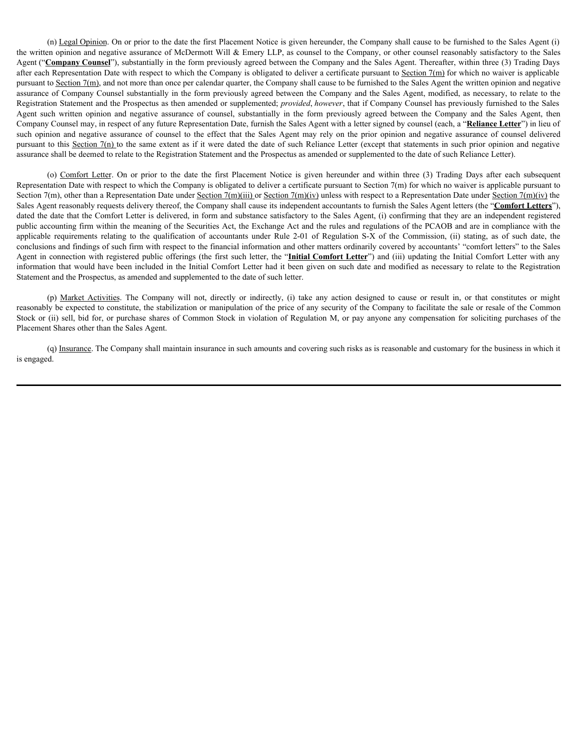(n) Legal Opinion. On or prior to the date the first Placement Notice is given hereunder, the Company shall cause to be furnished to the Sales Agent (i) the written opinion and negative assurance of McDermott Will & Emery LLP, as counsel to the Company, or other counsel reasonably satisfactory to the Sales Agent ("**Company Counsel**"), substantially in the form previously agreed between the Company and the Sales Agent. Thereafter, within three (3) Trading Days after each Representation Date with respect to which the Company is obligated to deliver a certificate pursuant to Section  $7(m)$  for which no waiver is applicable pursuant to Section  $7(m)$ , and not more than once per calendar quarter, the Company shall cause to be furnished to the Sales Agent the written opinion and negative assurance of Company Counsel substantially in the form previously agreed between the Company and the Sales Agent, modified, as necessary, to relate to the Registration Statement and the Prospectus as then amended or supplemented; *provided*, *however*, that if Company Counsel has previously furnished to the Sales (n) Legal Opinion. On or prior to the date the first Placement Notice is given hereunder, the Company shall cause to be furnished to the Sales Agent (i)<br>the written opinion and negative assurance of McDermott Will & Emery Company Counsel may, in respect of any future Representation Date, furnish the Sales Agent with a letter signed by counsel (each, a "**Reliance Letter**") in lieu of (n) <u>Legal Omisian</u> On or prior to the date the first Placement Notice is given hereunder, the Company shall cause to be furnished to the Sales Agent (Company Counsed), as a Sales Agent (Company Counsed), substantially in pursuant to this Section  $7(n)$  to the same extent as if it were dated the date of such Reliance Letter (except that statements in such prior opinion and negative assurance shall be deemed to relate to the Registration Statement and the Prospectus as amended or supplemented to the date of such Reliance Letter). (o) Legal Opinion. On or prior to the date the first Placement Notice is given hereunder, the Company shall cause to be furnished to the Sales Agent (i) on priorion and megative assurance of McDermott Will & Emery LLP, as (ii) Legal Ogniton. On or prior to be date the first Placement Notice is given hereauder, the Company shall cause to be furnished to the Solics Agent (Company Counter), Sucharially is the company counter of McDemate Counte (6) Legal Oginism, On or prior to the dist he first Placement Notice is given hereunder, the Company shall cause to be firminined to the Sales Agent (1) company Commany Commany control and a causa constitutes. The company

Representation Date with respect to which the Company is obligated to deliver a certificate pursuant to Section  $7(m)$  for which no waiver is applicable pursuant to Section 7(m), other than a Representation Date under Section 7(m)(iii) or Section 7(m)(iv) unless with respect to a Representation Date under Section 7(m)(iv) the Sales Agent reasonably requests delivery thereof, the Company shall cause its independent accountants to furnish the Sales Agent letters (the "**Comfort Letters**"), dated the date that the Comfort Letter is delivered, in form and substance satisfactory to the Sales Agent, (i) confirming that they are an independent registered public accounting firm within the meaning of the Securities Act, the Exchange Act and the rules and regulations of the PCAOB and are in compliance with the conclusions and findings of such firm with respect to the financial information and other matters ordinarily covered by accountants' "comfort letters" to the Sales Agent in connection with registered public offerings (the first such letter, the "**Initial Comfort Letter**") and (iii) updating the Initial Comfort Letter with any information that would have been included in the Initial Comfort Letter had it been given on such date and modified as necessary to relate to the Registration Statement and the Prospectus, as amended and supplemented to the date of such letter.

reasonably be expected to constitute, the stabilization or manipulation of the price of any security of the Company to facilitate the sale or resale of the Common Stock or (ii) sell, bid for, or purchase shares of Common Stock in violation of Regulation M, or pay anyone any compensation for soliciting purchases of the Placement Shares other than the Sales Agent.

(q) Insurance. The Company shall maintain insurance in such amounts and covering such risks as is reasonable and customary for the business in which it is engaged.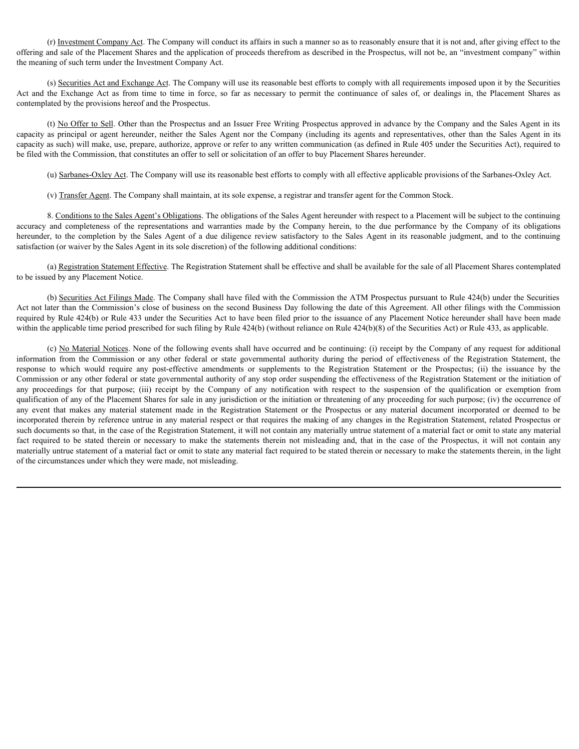(r) Investment Company Act. The Company will conduct its affairs in such a manner so as to reasonably ensure that it is not and, after giving effect to the offering and sale of the Placement Shares and the application of proceeds therefrom as described in the Prospectus, will not be, an "investment company" within the meaning of such term under the Investment Company Act.

(s) Securities Act and Exchange Act. The Company will use its reasonable best efforts to comply with all requirements imposed upon it by the Securities contemplated by the provisions hereof and the Prospectus.

(r) Investment Company Act. The Company will conduct its affairs in such a manner so as to reasonably ensure that it is not and, after giving effect to the Portune of the Pacement Shares and the application of proceeds th (t) No Offer to Sell. Other than the Prospectus and an Issuer Free Writing Prospectus approved in advance by the Company and the Sales Agent in its (7) <u>Investment Company Aet</u> The Company will conduct its affairs in such a manner so as to reasonably ensure that it is not and, after giving effect to the the meaning of such term under the Investment Company Act.<br>
the capacity as such) will make, use, prepare, authorize, approve or refer to any written communication (as defined in Rule 405 under the Securities Act), required to be filed with the Commission, that constitutes an offer to sell or solicitation of an offer to buy Placement Shares hereunder. accuracy (c) Imaginant Company Ad- The Company will condect is affairs in such a mumer so as to reasonably ensure that it is not and the priving effect to the different and the procedus therefore an ease of the Photomas C (f) Investiment Company Act - the Company will conduct its affairs in such a manner so as to reasonably ensure that it is not and, ulter group effect to the effect of the Parken and such other Parken and such a due envolv

(u) Sarbanes-Oxley Act. The Company will use its reasonable best efforts to comply with all effective applicable provisions of the Sarbanes-Oxley Act.

(v) Transfer Agent. The Company shall maintain, at its sole expense, a registrar and transfer agent for the Common Stock.

8. Conditions to the Sales Agent's Obligations. The obligations of the Sales Agent hereunder with respect to a Placement will be subject to the continuing satisfaction (or waiver by the Sales Agent in its sole discretion) of the following additional conditions:

(a) Registration Statement Effective. The Registration Statement shall be effective and shall be available for the sale of all Placement Shares contemplated to be issued by any Placement Notice.

(b) Securities Act Filings Made. The Company shall have filed with the Commission the ATM Prospectus pursuant to Rule 424(b) under the Securities Act not later than the Commission's close of business on the second Business Day following the date of this Agreement. All other filings with the Commission required by Rule 424(b) or Rule 433 under the Securities Act to have been filed prior to the issuance of any Placement Notice hereunder shall have been made within the applicable time period prescribed for such filing by Rule 424(b) (without reliance on Rule 424(b)(8) of the Securities Act) or Rule 433, as applicable.

(c) No Material Notices. None of the following events shall have occurred and be continuing: (i) receipt by the Company of any request for additional of the product of *New Your Commission Commission Commission Commission Commission Commission Commission Authority Commission Commission Commission Commission Commission Commission Commission Commission Commission Commissi* response to the mede phe frequence Company Act<br>
(a) Seconda Exchange 2.42 The Company will us its reasonable best effects or energy with all requirements imposed upon it by de Seconda<br>
Act and the Exchange 2.4 The Company Commission or any other federal or state governmental authority of any stop order suspending the effectiveness of the Registration Statement or the initiation of asymptotic Adventuate Adventuate Adventuate Adventuate in Section 10 receipt to the company of the deterministery in the properties and Excellential process that the company with the company and the Vokacine section of t qualification of any of the Placement Shares for sale in any jurisdiction or the initiation or threatening of any proceeding for such purpose; (iv) the occurrence of any event of the provision beneficial to the Properties and an Issue Tree Widding inspectus approved in advance by the Company and the Sole Agent in its company in the Default of Sole Agent any the Company incorporation of incorporated therein by reference untrue in any material respect or that requires the making of any changes in the Registration Statement, related Prospectus or such documents so that, in the case of the Registration Statement, it will not contain any materially untrue statement of a material fact or omit to state any material epplote is probable the state incometer, politic for Sales Agent on the Company (indolling in genis radic representatives a mode in the statements in the statements of the statements of the statements the statements in th materially untrue statement of a material fact or omit to state any material fact required to be stated therein or necessary to make the statements therein, in the light of the circumstances under which they were made, not misleading.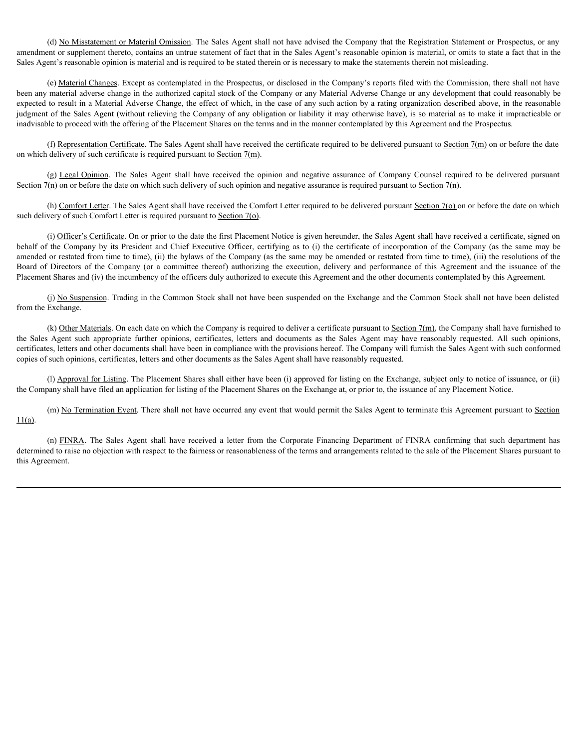(d) No Misstatement or Material Omission. The Sales Agent shall not have advised the Company that the Registration Statement or Prospectus, or any amendment or supplement thereto, contains an untrue statement of fact that in the Sales Agent's reasonable opinion is material, or omits to state a fact that in the Sales Agent's reasonable opinion is material and is required to be stated therein or is necessary to make the statements therein not misleading.

(e) Material Changes. Except as contemplated in the Prospectus, or disclosed in the Company's reports filed with the Commission, there shall not have been any material adverse change in the authorized capital stock of the Company or any Material Adverse Change or any development that could reasonably be expected to result in a Material Adverse Change, the effect of which, in the case of any such action by a rating organization described above, in the reasonable judgment of the Sales Agent (without relieving the Company of any obligation or liability it may otherwise have), is so material as to make it impracticable or inadvisable to proceed with the offering of the Placement Shares on the terms and in the manner contemplated by this Agreement and the Prospectus. (d) <u>No Missitatement or Material Omission</u>. The Sales Agent shall not have advised the Company that the Registration Statement or Prospectus, or any<br>annendment or supplement thereto, contains an untrue statement of fact (6) No Missimannia or Macmal Omission. The Sides Agent shall not have advised the Company that the Registration States of respective, or any sheared metric the certificate company considered president and the certificate (d) No. Missian met or Marcial Ornission. The Sukes Agent shall red have advised be Company but the Registration Sitement or Prospective, or any shall and the company is appear in the committee of company is the committee the Sales Missimann to Matsial Onisian. The Sales Agent shall not have advanced to forest projections of the Sales Agent Sales Missiman in the sales Agent Sales Missima in a method on points of the Sales Agent Sales (1978

(f) Representation Certificate. The Sales Agent shall have received the certificate required to be delivered pursuant to Section  $7(m)$  on or before the date

Section  $7(n)$  on or before the date on which such delivery of such opinion and negative assurance is required pursuant to Section  $7(n)$ .

(h) Comfort Letter. The Sales Agent shall have received the Comfort Letter required to be delivered pursuant Section 7(o) on or before the date on which such delivery of such Comfort Letter is required pursuant to Section 7(o).

(i) Officer's Certificate. On or prior to the date the first Placement Notice is given hereunder, the Sales Agent shall have received a certificate, signed on amended or restated from time to time), (ii) the bylaws of the Company (as the same may be amended or restated from time to time), (iii) the resolutions of the Placement Shares and (iv) the incumbency of the officers duly authorized to execute this Agreement and the other documents contemplated by this Agreement. (f) Expression Confirmits. The Sales Agent shall have received the entiriest required to be delivered pursuant to Sachim 2fm) on or before the date of corporation of the corporation of the corporation of the corporation o

(j) No Suspension. Trading in the Common Stock shall not have been suspended on the Exchange and the Common Stock shall not have been delisted from the Exchange.

(k) Other Materials. On each date on which the Company is required to deliver a certificate pursuant to Section  $7(m)$ , the Company shall have furnished to certificates, letters and other documents shall have been in compliance with the provisions hereof. The Company will furnish the Sales Agent with such conformed copies of such opinions, certificates, letters and other documents as the Sales Agent shall have reasonably requested.

(l) Approval for Listing. The Placement Shares shall either have been (i) approved for listing on the Exchange, subject only to notice of issuance, or (ii) the Company shall have filed an application for listing of the Placement Shares on the Exchange at, or prior to, the issuance of any Placement Notice.

(m) No Termination Event. There shall not have occurred any event that would permit the Sales Agent to terminate this Agreement pursuant to Section

determined to raise no objection with respect to the fairness or reasonableness of the terms and arrangements related to the sale of the Placement Shares pursuant to this Agreement.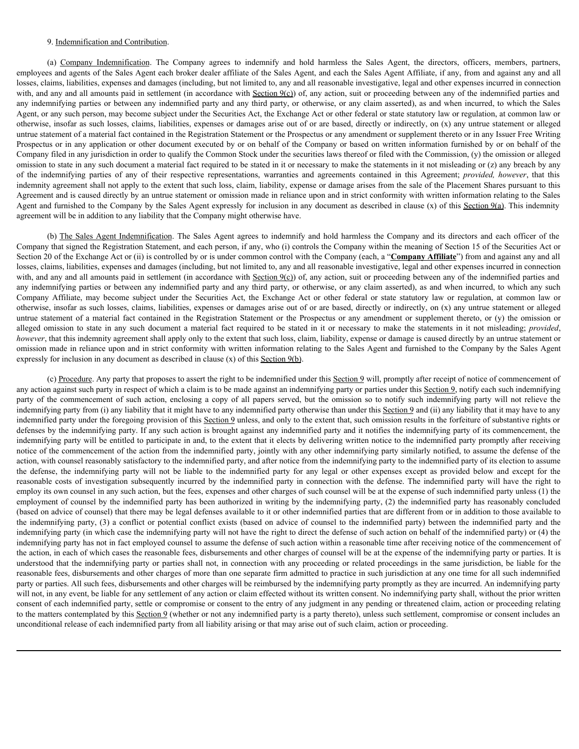### 9. Indemnification and Contribution.

9. Indemnification and Contribution.<br>(a) <u>Company Indemnification</u>. The Company agrees to indemnify and hold harmless the Sales Agent, the directors, officers, members, partners, sand agent in connection.<br>
aims, liabilitie employees and agents of the Sales Agent each broker dealer affiliate of the Sales Agent, and each the Sales Agent Affiliate, if any, from and against any and all losses, claims, liabilities, expenses and damages (including, but not limited to, any and all reasonable investigative, legal and other expenses incurred in connection with, and any and all amounts paid in settlement (in accordance with  $Section 9(c)$ ) of, any action, suit or proceeding between any of the indemnified parties and any indemnifying parties or between any indemnified party and any third party, or otherwise, or any claim asserted), as and when incurred, to which the Sales Agent, or any such person, may become subject under the Securities Act, the Exchange Act or other federal or state statutory law or regulation, at common law or otherwise, insofar as such losses, claims, liabilities, expenses or damages arise out of or are based, directly or indirectly, on (x) any untrue statement or alleged untrue statement of a material fact contained in the Registration Statement or the Prospectus or any amendment or supplement thereto or in any Issuer Free Writing Prospectus or in any application or other document executed by or on behalf of the Company or based on written information furnished by or on behalf of the Company filed in any jurisdiction in order to qualify the Common Stock under the securities laws thereof or filed with the Commission, (y) the omission or alleged omission to state in any such document a material fact required to be stated in it or necessary to make the statements in it not misleading or (z) any breach by any 9. Indemnification and Contibution.<br>
(a) Company Indemnification The Company agrees to indemnify and hold harmless the Sales Agent, the directors, officers, members, partners, emphysyes and agents of the Sales Agent cash indemnity agreement shall not apply to the extent that such loss, claim, liability, expense or damage arises from the sale of the Placement Shares pursuant to this Agreement and is caused directly by an untrue statement or omission made in reliance upon and in strict conformity with written information relating to the Sales Agent and furnished to the Company by the Sales Agent expressly for inclusion in any document as described in clause  $(x)$  of this Section 9(a). This indemnity agreement will be in addition to any liability that the Company might otherwise have. 9. Indemnification and Contribution<br>(c) Company. Indemnification. The Company agrees to indemnify and hold harmless the Sales Agent, the directors, officers, members, partners,<br>as and agents of the Sales Agent each know de <sup>9</sup> Indemnification, and Comtishaton<br>
(i) Company Inferior Company interes to indentify and hold hamles the Skies Agen, Affiliac, it any four such agains the yand<br>engine and all at any of the Security Corollance and is com 9. Indemnification and Contribution<br>and Company actions includingly and held larmies the Sales Agent, the directors, effects, amendes, patholical<br>engine the directors of the Registration. The Constrained intervalse and th 9. Independential and Contribution and Contribution<br>
10. Campany Independent and Contribution<br>
unploases and points and Contribution<br>
unploases and points and the station and both desired in this station of the Station A with all one condition and in order but action, the order of the commence and y and action, and with a commence of the commence of the commence of the commence of the commence of the such action, or they all the such act

Company that signed the Registration Statement, and each person, if any, who (i) controls the Company within the meaning of Section 15 of the Securities Act or Section 20 of the Exchange Act or (ii) is controlled by or is under common control with the Company (each, a "**Company Affiliate**") from and against any and all losses, claims, liabilities, expenses and damages (including, but not limited to, any and all reasonable investigative, legal and other expenses incurred in connection with, and any and all amounts paid in settlement (in accordance with Section  $9(c)$ ) of, any action, suit or proceeding between any of the indemnified parties and any indemnifying parties or between any indemnified party and any third party, or otherwise, or any claim asserted), as and when incurred, to which any such otherwise, insofar as such losses, claims, liabilities, expenses or damages arise out of or are based, directly or indirectly, on (x) any untrue statement or alleged omission made in reliance upon and in strict conformity with written information relating to the Sales Agent and furnished to the Company by the Sales Agent expressly for inclusion in any document as described in clause (x) of this Section 9(b).

(c) Procedure. Any party that proposes to assert the right to be indemnified under this Section 9 will, promptly after receipt of notice of commencement of any action against such party in respect of which a claim is to be made against an indemnifying party or parties under this Section 9, notify each such indemnifying indemnifying party from (i) any liability that it might have to any indemnified party otherwise than under this Section 9 and (ii) any liability that it may have to any indemnified party under the foregoing provision of this Section 9 unless, and only to the extent that, such omission results in the forfeiture of substantive rights or defenses by the indemnifying party. If any such action is brought against any indemnified party and it notifies the indemnifying party of its commencement, the indemnifying party will be entitled to participate in and, to the extent that it elects by delivering written notice to the indemnified party promptly after receiving notice of the commencement of the action from the indemnified party, jointly with any other indemnifying party similarly notified, to assume the defense of the action, with counsel reasonably satisfactory to the indemnified party, and after notice from the indemnifying party to the indemnified party of its election to assume the internal in the special original in the required in the internal in the measury in red batter for except to the internal internal in the contents in the internal internal internal internal internal internal internal in of the meleonative parties of any their respective transfer any meleonation way meleonation by the costs of the Networth in the independent of the Kensel of the Kensel of the Networth in the SAS (Appendent to subsequent th employ its own counsel in any such action, but the fees, expenses and other charges of such counsel will be at the expense of such indemnified party unless (1) the employment of counsel by the indemnified party has been authorized in writing by the indemnifying party, (2) the indemnified party has reasonably concluded (based on advice of counsel) that there may be legal defenses available to it or other indemnified parties that are different from or in addition to those available to upwersed will be in addition to any indiring that the foregary wide is between the decade and conflict or spin and conflict and conflict and conflict or spin and counsel to the independent of counsel to the independent of indemnifying party (in which case the indemnifying party will not have the right to direct the defense of such action on behalf of the indemnified party) or (4) the indemnifying party has not in fact employed counsel to assume the defense of such action within a reasonable time after receiving notice of the commencement of the action, in each of which cases the reasonable fees, disbursements and other charges of counsel will be at the expense of the indemnifying party or parties. It is understood that the indemnifying party or parties shall not, in connection with any proceeding or related proceedings in the same jurisdiction, be liable for the reasonable fees, disbursements and other charges of more than one separate firm admitted to practice in such jurisdiction at any one time for all such indemnified party or parties. All such fees, disbursements and other charges will be reimbursed by the indemnifying party promptly as they are incurred. An indemnifying party will not, in any event, be liable for any settlement of any action or claim effected without its written consent. No indemnifying party shall, without the prior written consent of each indemnified party, settle or compromise or consent to the entry of any judgment in any pending or threatened claim, action or proceeding relating to the matters contemplated by this Section 9 (whether or not any indemnified party is a party thereto), unless such settlement, compromise or consent includes an unconditional release of each indemnified party from all liability arising or that may arise out of such claim, action or proceeding.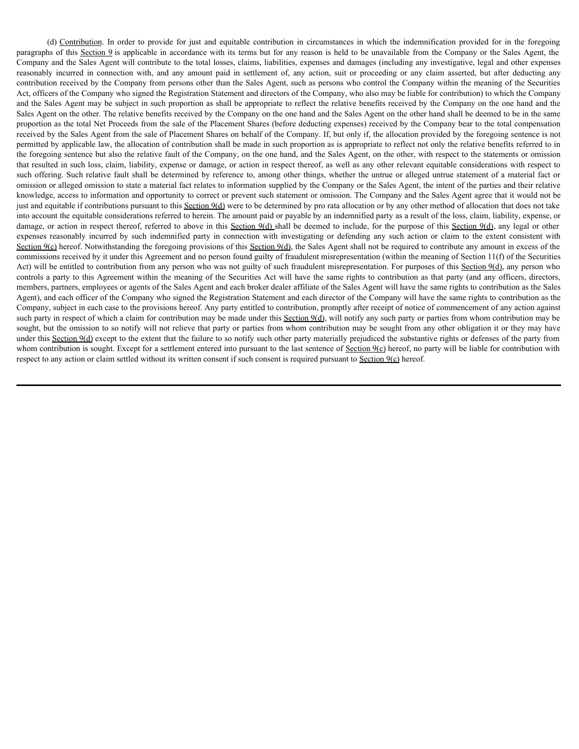(d) Contribution. In order to provide for just and equitable contribution in circumstances in which the indemnification provided for in the foregoing as of this <u>Section</u> 9 is applicable in accordance with its terms but fo paragraphs of this Section 9 is applicable in accordance with its terms but for any reason is held to be unavailable from the Company or the Sales Agent, the Company and the Sales Agent will contribute to the total losses, claims, liabilities, expenses and damages (including any investigative, legal and other expenses (d) Contribution. In order to provide for just and equitable contribution in circumstances in which the indemnification provided for in the foregoing paragraphs of this <u>Section 9</u> is applicable in accordance with its term contribution received by the Company from persons other than the Sales Agent, such as persons who control the Company within the meaning of the Securities Act, officers of the Company who signed the Registration Statement and directors of the Company, who also may be liable for contribution) to which the Company and the Sales Agent may be subject in such proportion as shall be appropriate to reflect the relative benefits received by the Company on the one hand and the Sales Agent on the other. The relative benefits received by the Company on the one hand and the Sales Agent on the other hand shall be deemed to be in the same proportion as the total Net Proceeds from the sale of the Placement Shares (before deducting expenses) received by the Company bear to the total compensation received by the Sales Agent from the sale of Placement Shares on behalf of the Company. If, but only if, the allocation provided by the foregoing sentence is not permitted by applicable law, the allocation of contribution shall be made in such proportion as is appropriate to reflect not only the relative benefits referred to in the foregoing sentence but also the relative fault of the Company, on the one hand, and the Sales Agent, on the other, with respect to the statements or omission that resulted in such loss, claim, liability, expense or damage, or action in respect thereof, as well as any other relevant equitable considerations with respect to such offering. Such relative fault shall be determined by reference to, among other things, whether the untrue or alleged untrue statement of a material fact or omission or alleged omission to state a material fact relates to information supplied by the Company or the Sales Agent, the intent of the parties and their relative knowledge, access to information and opportunity to correct or prevent such statement or omission. The Company and the Sales Agent agree that it would not be just and equitable if contributions pursuant to this Section 9(d) were to be determined by pro rata allocation or by any other method of allocation that does not take into account the equitable considerations referred to herein. The amount paid or payable by an indemnified party as a result of the loss, claim, liability, expense, or damage, or action in respect thereof, referred to above in this Section 9(d) shall be deemed to include, for the purpose of this Section 9(d), any legal or other (d) Contribution. In order to provide for just ind equilable contribution in circumstances in which the independing or this propagaty or this sequestry. Company or this sequestry is the such in terms for the reasonably inc Section  $9(c)$  hereof. Notwithstanding the foregoing provisions of this Section  $9(d)$ , the Sales Agent shall not be required to contribute any amount in excess of the commissions received by it under this Agreement and no person found guilty of fraudulent misrepresentation (within the meaning of Section 11(f) of the Securities Act) will be entitled to contribution from any person who was not guilty of such fraudulent misrepresentation. For purposes of this Section 9(d), any person who controls a party to this Agreement within the meaning of the Securities Act will have the same rights to contribution as that party (and any officers, directors, members, partners, employees or agents of the Sales Agent and each broker dealer affiliate of the Sales Agent will have the same rights to contribution as the Sales Agent), and each officer of the Company who signed the Registration Statement and each director of the Company will have the same rights to contribution as the Company, subject in each case to the provisions hereof. Any party entitled to contribution, promptly after receipt of notice of commencement of any action against such party in respect of which a claim for contribution may be made under this Section 9(d), will notify any such party or parties from whom contribution may be sought, but the omission to so notify will not relieve that party or parties from whom contribution may be sought from any other obligation it or they may have under this Section 9(d) except to the extent that the failure to so notify such other party materially prejudiced the substantive rights or defenses of the party from whom contribution is sought. Except for a settlement entered into pursuant to the last sentence of Section 9(c) hereof, no party will be liable for contribution with respect to any action or claim settled without its written consent if such consent is required pursuant to Section 9(c) hereof.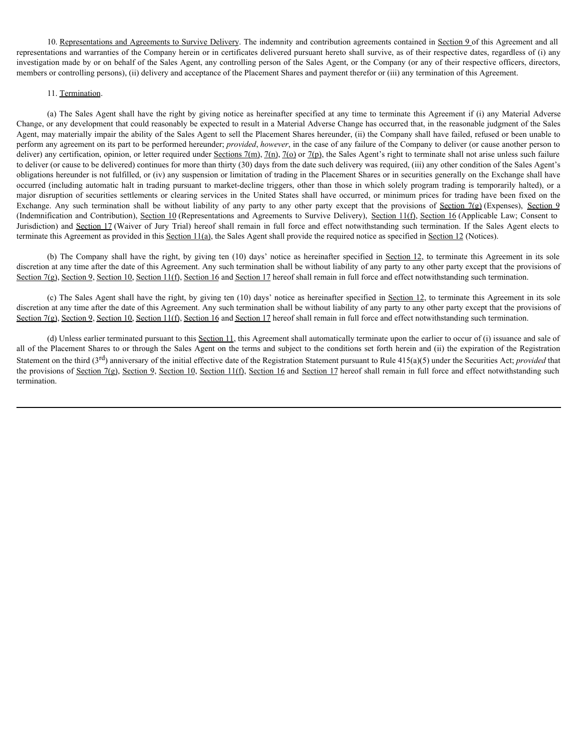10. Representations and Agreements to Survive Delivery. The indemnity and contribution agreements contained in Section 9 of this Agreement and all representations and warranties of the Company herein or in certificates delivered pursuant hereto shall survive, as of their respective dates, regardless of (i) any investigation made by or on behalf of the Sales Agent, any controlling person of the Sales Agent, or the Company (or any of their respective officers, directors, members or controlling persons), (ii) delivery and acceptance of the Placement Shares and payment therefor or (iii) any termination of this Agreement.

### 11. Termination.

(a) The Sales Agent shall have the right by giving notice as hereinafter specified at any time to terminate this Agreement if (i) any Material Adverse Change, or any development that could reasonably be expected to result in a Material Adverse Change has occurred that, in the reasonable judgment of the Sales Agent, may materially impair the ability of the Sales Agent to sell the Placement Shares hereunder, (ii) the Company shall have failed, refused or been unable to perform any agreement on its part to be performed hereunder; *provided*, *however*, in the case of any failure of the Company to deliver (or cause another person to deliver) any certification, opinion, or letter required under Sections 7(m), 7(n), 7(o) or 7(p), the Sales Agent's right to terminate shall not arise unless such failure to deliver (or cause to be delivered) continues for more than thirty (30) days from the date such delivery was required, (iii) any other condition of the Sales Agent's obligations hereunder is not fulfilled, or (iv) any suspension or limitation of trading in the Placement Shares or in securities generally on the Exchange shall have occurred (including automatic halt in trading pursuant to market-decline triggers, other than those in which solely program trading is temporarily halted), or a 10 Representations and Agreements to Survive Delivery. The indemnity and contribution agreements contained in Section 2 of this Agreement and all<br>trop-tegetion and variantes of the Company herein or in certificates divers 10. Remesentations and Ageements to Suchize Delivery. The indemnity and contribution agecements continued in Section 9 of this Ageement near the company here of proparise delivered pursue near of the Company investigation (Indemnification and Contribution), Section 10 (Representations and Agreements to Survive Delivery), Section 11(f), Section 16 (Applicable Law; Consent to 10. Regineerationium and Aprocements to Sintyiav Delinery. The indemnity and contribution agreements contributed in Section 2 of this Aproment and all<br>processintions and warmuives of the Company hereor or in eerificated s terminate this Agreement as provided in this Section 11(a), the Sales Agent shall provide the required notice as specified in Section 12 (Notices). 10 Representations and Agreements to Survive Delivery. The indemnity and ventible<br>into said varianties of the Company hards on in explicate delivered portunal hereinate have all outwride the<br>shall arrive specified in the

discretion at any time after the date of this Agreement. Any such termination shall be without liability of any party to any other party except that the provisions of Section 7(g), Section 9, Section 10, Section 11(f), Section 16 and Section 17 hereof shall remain in full force and effect notwithstanding such termination.

(c) The Sales Agent shall have the right, by giving ten  $(10)$  days' notice as hereinafter specified in Section 12, to terminate this Agreement in its sole discretion at any time after the date of this Agreement. Any such termination shall be without liability of any party to any other party except that the provisions of Section 7(g), Section 9, Section 10, Section 11(f), Section 16 and Section 17 hereof shall remain in full force and effect notwithstanding such termination.

(d) Unless earlier terminated pursuant to this Section 11, this Agreement shall automatically terminate upon the earlier to occur of (i) issuance and sale of all of the Placement Shares to or through the Sales Agent on the terms and subject to the conditions set forth herein and (ii) the expiration of the Registration Statement on the third (3<sup>rd</sup>) anniversary of the initial effective date of the Registration Statement pursuant to Rule 415(a)(5) under the Securities Act; *provided* that the provisions of Section 7(g), Section 9, Section 10, Section 11(f), Section 16 and Section 17 hereof shall remain in full force and effect notwithstanding such termination.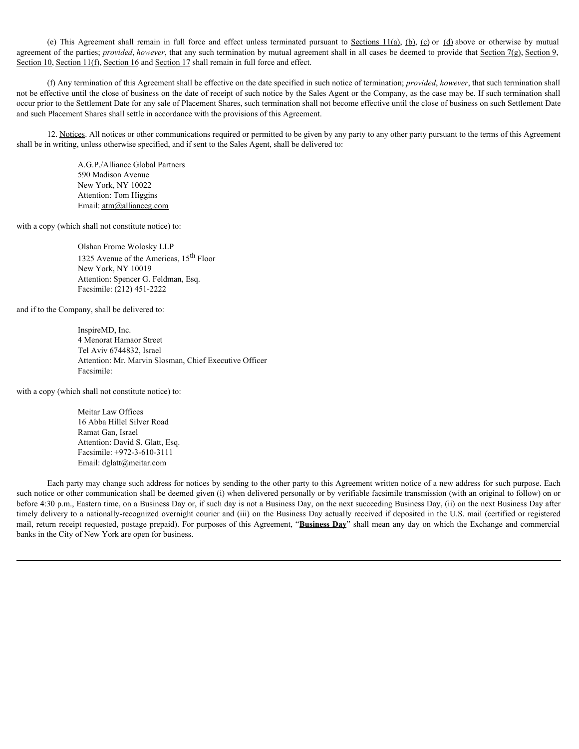agreement of the parties; *provided, however*, that any such termination by mutual agreement shall in all cases be deemed to provide that Section 7(g), Section 9, Section 10, Section 11(f), Section 16 and Section 17 shall remain in full force and effect.

(e) This Agreement shall remain in full force and effect unless terminated pursuant to <u>Sections 11(a), (b), (c</u>) or (<u>d</u>) above or otherwise by mutual<br>to fthe parties; *provided, however*, that any such termination by mu (f) Any termination of this Agreement shall be effective on the date specified in such notice of termination; *provided*, *however*, that such termination shall not be effective until the close of business on the date of receipt of such notice by the Sales Agent or the Company, as the case may be. If such termination shall occur prior to the Settlement Date for any sale of Placement Shares, such termination shall not become effective until the close of business on such Settlement Date and such Placement Shares shall settle in accordance with the provisions of this Agreement.

12. Notices. All notices or other communications required or permitted to be given by any party to any other party pursuant to the terms of this Agreement shall be in writing, unless otherwise specified, and if sent to the Sales Agent, shall be delivered to:

> A.G.P./Alliance Global Partners 590 Madison Avenue New York, NY 10022 Attention: Tom Higgins Email: atm@allianceg.com

with a copy (which shall not constitute notice) to:

Olshan Frome Wolosky LLP 1325 Avenue of the Americas, 15<sup>th</sup> Floor New York, NY 10019 Attention: Spencer G. Feldman, Esq. Facsimile: (212) 451-2222

and if to the Company, shall be delivered to:

InspireMD, Inc. 4 Menorat Hamaor Street Tel Aviv 6744832, Israel Attention: Mr. Marvin Slosman, Chief Executive Officer Facsimile:

with a copy (which shall not constitute notice) to:

Meitar Law Offices 16 Abba Hillel Silver Road Ramat Gan, Israel Attention: David S. Glatt, Esq. Facsimile: +972-3-610-3111 Email: dglatt@meitar.com

Each party may change such address for notices by sending to the other party to this Agreement written notice of a new address for such purpose. Each such notice or other communication shall be deemed given (i) when delivered personally or by verifiable facsimile transmission (with an original to follow) on or before 4:30 p.m., Eastern time, on a Business Day or, if such day is not a Business Day, on the next succeeding Business Day, (ii) on the next Business Day after timely delivery to a nationally-recognized overnight courier and (iii) on the Business Day actually received if deposited in the U.S. mail (certified or registered mail, return receipt requested, postage prepaid). For purposes of this Agreement, "**Business Day**" shall mean any day on which the Exchange and commercial banks in the City of New York are open for business.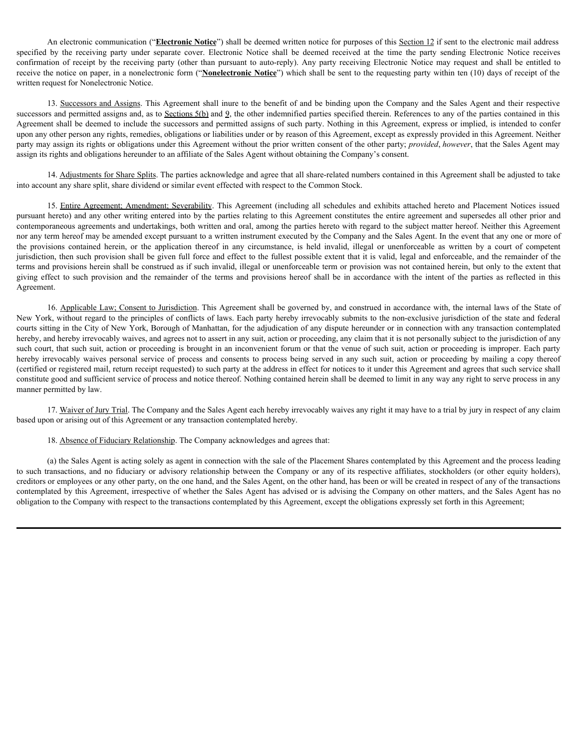An electronic communication ("**Electronic Notice**") shall be deemed written notice for purposes of this Section 12 if sent to the electronic mail address An electronic communication ("**Electronic Notice**") shall be deemed written notice for purposes of this <u>Section 12</u> if sent to the electronic mail address specified by the receiving party under separate cover. Electronic An electronic communication ("**Electronic Notice**") shall be deemed written notice for purposes of this <u>Section 12</u> if sent to the electronic mail address specified by the receiving party under separate cover. Electronic receive the notice on paper, in a nonelectronic form ("**Nonelectronic Notice**") which shall be sent to the requesting party within ten (10) days of receipt of the written request for Nonelectronic Notice.

13. Successors and Assigns. This Agreement shall inure to the benefit of and be binding upon the Company and the Sales Agent and their respective successors and permitted assigns and, as to Sections 5(b) and 9, the other indemnified parties specified therein. References to any of the parties contained in this Agreement shall be deemed to include the successors and permitted assigns of such party. Nothing in this Agreement, express or implied, is intended to confer upon any other person any rights, remedies, obligations or liabilities under or by reason of this Agreement, except as expressly provided in this Agreement. Neither party may assign its rights or obligations under this Agreement without the prior written consent of the other party; *provided*, *however*, that the Sales Agent may assign its rights and obligations hereunder to an affiliate of the Sales Agent without obtaining the Company's consent.

14. Adjustments for Share Splits. The parties acknowledge and agree that all share-related numbers contained in this Agreement shall be adjusted to take into account any share split, share dividend or similar event effected with respect to the Common Stock.

An electronic communication ("<u>Electronic Notics</u>") shall be decemed written notice for purposes of this <u>Section 12</u> if sent to the electronic mail address<br>by the receiving party under separate cover Electronic Notice sh pursuant hereto) and any other writing entered into by the parties relating to this Agreement constitutes the entire agreement and supersedes all other prior and contemporaneous agreements and undertakings, both written and oral, among the parties hereto with regard to the subject matter hereof. Neither this Agreement nor any term hereof may be amended except pursuant to a written instrument executed by the Company and the Sales Agent. In the event that any one or more of An electronic communication ("**Electronic Notice**") shall be deemed written notice for purposes of this <u>Section</u> 21 if sent to the electronic number solution by the receiving purpy under espanding be determined in the co jurisdiction, then such provision shall be given full force and effect to the fullest possible extent that it is valid, legal and enforceable, and the remainder of the terms and provisions herein shall be construed as if such invalid, illegal or unenforceable term or provision was not contained herein, but only to the extent that An electronic communication ("**Electronic Naties"**) shall be deemed written notice for party-one of this <u>Section</u> 2 if sent to be electronic muit of the provision and the compatibility in excels the provision and the com Agreement.

16. Applicable Law; Consent to Jurisdiction. This Agreement shall be governed by, and construed in accordance with, the internal laws of the State of New York, without regard to the principles of conflicts of laws. Each party hereby irrevocably submits to the non-exclusive jurisdiction of the state and federal courts sitting in the City of New York, Borough of Manhattan, for the adjudication of any dispute hereunder or in connection with any transaction contemplated hereby, and hereby irrevocably waives, and agrees not to assert in any suit, action or proceeding, any claim that it is not personally subject to the jurisdiction of any such court, that such suit, action or proceeding is brought in an inconvenient forum or that the venue of such suit, action or proceeding is improper. Each party pearlies by revocad any case with the service personal consents and the detection of the detection of receiving the service of the service or any of the service in any consent which consent which consent where the service (certified or registered mail, return receipt requested) to such party at the address in effect for notices to it under this Agreement and agrees that such service shall constitute good and sufficient service of process and notice thereof. Nothing contained herein shall be deemed to limit in any way any right to serve process in any manner permitted by law. 14. <u>Adjustment</u> for Share. Shifts The parties actions ledges on distributed by the African Company or advisory and produces of the Company or advisor of the Company or advisor of the Company or advisor the Company or adv

17. Waiver of Jury Trial. The Company and the Sales Agent each hereby irrevocably waives any right it may have to a trial by jury in respect of any claim based upon or arising out of this Agreement or any transaction contemplated hereby.

18. Absence of Fiduciary Relationship. The Company acknowledges and agrees that:

(a) the Sales Agent is acting solely as agent in connection with the sale of the Placement Shares contemplated by this Agreement and the process leading creditors or employees or any other party, on the one hand, and the Sales Agent, on the other hand, has been or will be created in respect of any of the transactions contemplated by this Agreement, irrespective of whether the Sales Agent has advised or is advising the Company on other matters, and the Sales Agent has no obligation to the Company with respect to the transactions contemplated by this Agreement, except the obligations expressly set forth in this Agreement;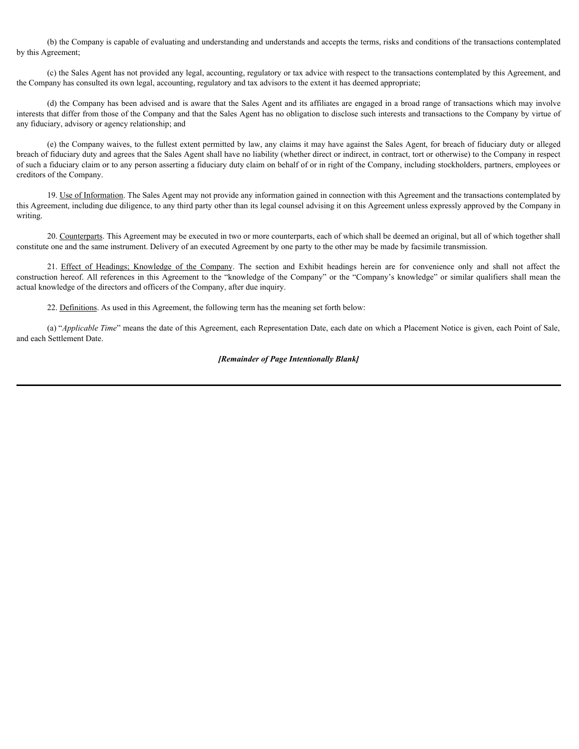(b) the Company is capable of evaluating and understanding and understands and accepts the terms, risks and conditions of the transactions contemplated by this Agreement;

(c) the Sales Agent has not provided any legal, accounting, regulatory or tax advice with respect to the transactions contemplated by this Agreement, and the Company has consulted its own legal, accounting, regulatory and tax advisors to the extent it has deemed appropriate;

(d) the Company has been advised and is aware that the Sales Agent and its affiliates are engaged in a broad range of transactions which may involve interests that differ from those of the Company and that the Sales Agent has no obligation to disclose such interests and transactions to the Company by virtue of any fiduciary, advisory or agency relationship; and

(e) the Company waives, to the fullest extent permitted by law, any claims it may have against the Sales Agent, for breach of fiduciary duty or alleged breach of fiduciary duty and agrees that the Sales Agent shall have no liability (whether direct or indirect, in contract, tort or otherwise) to the Company in respect of such a fiduciary claim or to any person asserting a fiduciary duty claim on behalf of or in right of the Company, including stockholders, partners, employees or creditors of the Company. (b) the Company is capable of evaluating and understanding and understands and accepts the rams, risks and conditions of the transactions contemplated by this Agreement, and (c) the Sales Agent has not provided any legal),

19. Use of Information. The Sales Agent may not provide any information gained in connection with this Agreement and the transactions contemplated by this Agreement, including due diligence, to any third party other than its legal counsel advising it on this Agreement unless expressly approved by the Company in writing.

20. Counterparts. This Agreement may be executed in two or more counterparts, each of which shall be deemed an original, but all of which together shall constitute one and the same instrument. Delivery of an executed Agreement by one party to the other may be made by facsimile transmission.

construction hereof. All references in this Agreement to the "knowledge of the Company" or the "Company's knowledge" or similar qualifiers shall mean the actual knowledge of the directors and officers of the Company, after due inquiry.

22. Definitions. As used in this Agreement, the following term has the meaning set forth below:

(a) "*Applicable Time*" means the date of this Agreement, each Representation Date, each date on which a Placement Notice is given, each Point of Sale, and each Settlement Date.

### *[Remainder of Page Intentionally Blank]*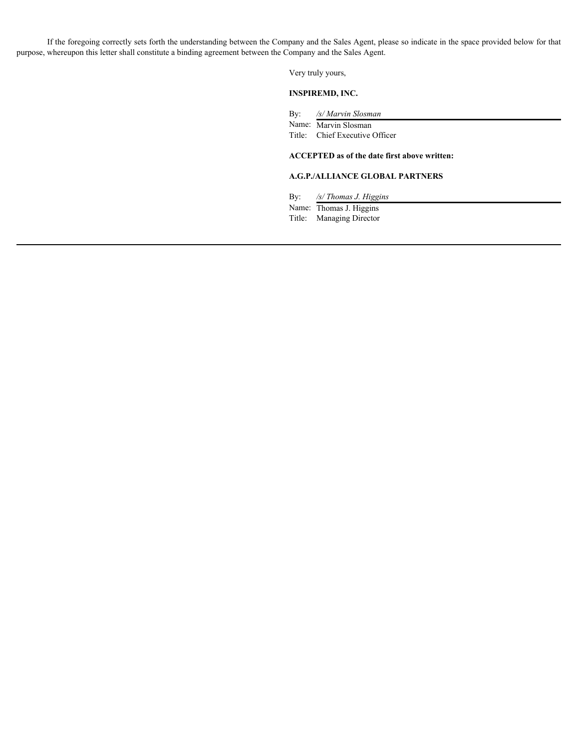If the foregoing correctly sets forth the understanding between the Company and the Sales Agent, please so indicate in the space provided below for that purpose, whereupon this letter shall constitute a binding agreement between the Company and the Sales Agent.

Very truly yours,

### **INSPIREMD, INC.**

By: */s/ Marvin Slosman*

Name: Marvin Slosman

Title: Chief Executive Officer

### **ACCEPTED as of the date first above written:**

### **A.G.P./ALLIANCE GLOBAL PARTNERS**

By: */s/ Thomas J. Higgins*

Name: Thomas J. Higgins Title: Managing Director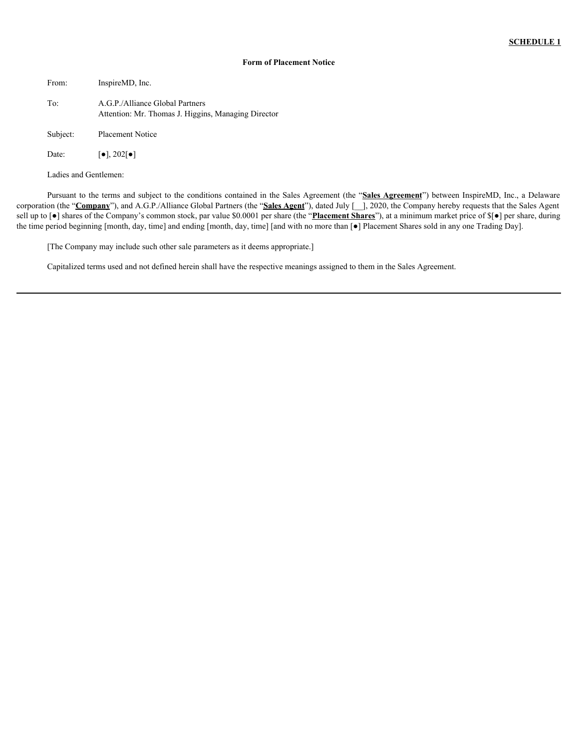### **Form of Placement Notice**

| From:    | InspireMD, Inc.                                                                        |
|----------|----------------------------------------------------------------------------------------|
| To:      | A.G.P./Alliance Global Partners<br>Attention: Mr. Thomas J. Higgins, Managing Director |
| Subject: | <b>Placement Notice</b>                                                                |
| Date:    | $\lceil \bullet \rceil$ , 202 $\lceil \bullet \rceil$                                  |

Ladies and Gentlemen:

Pursuant to the terms and subject to the conditions contained in the Sales Agreement (the "**Sales Agreement**") between InspireMD, Inc., a Delaware corporation (the "**Company**"), and A.G.P./Alliance Global Partners (the "**Sales Agent**"), dated July [\_\_], 2020, the Company hereby requests that the Sales Agent sell up to [●] shares of the Company's common stock, par value \$0.0001 per share (the "**Placement Shares**"), at a minimum market price of \$[●] per share, during the time period beginning [month, day, time] and ending [month, day, time] [and with no more than [●] Placement Shares sold in any one Trading Day].

[The Company may include such other sale parameters as it deems appropriate.]

Capitalized terms used and not defined herein shall have the respective meanings assigned to them in the Sales Agreement.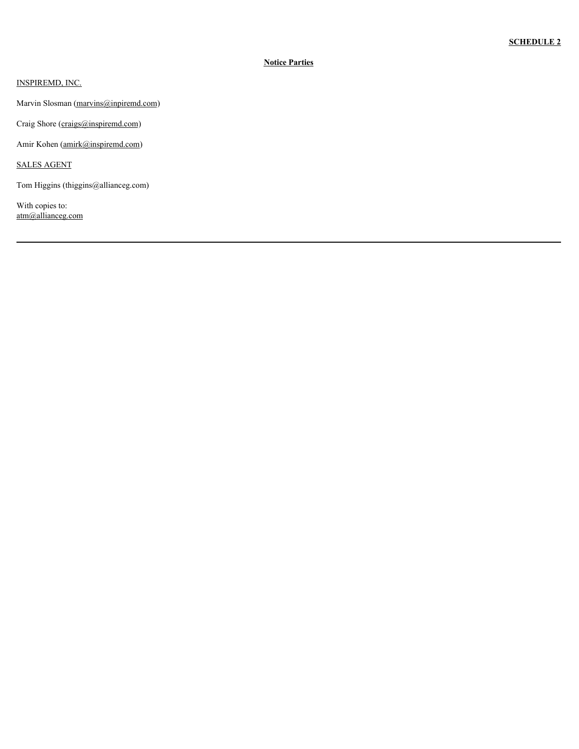### **Notice Parties**

INSPIREMD, INC.

Marvin Slosman (marvins@inpiremd.com)

Craig Shore (craigs@inspiremd.com)

Amir Kohen (amirk@inspiremd.com)

SALES AGENT

Tom Higgins (thiggins@allianceg.com)

With copies to: atm@allianceg.com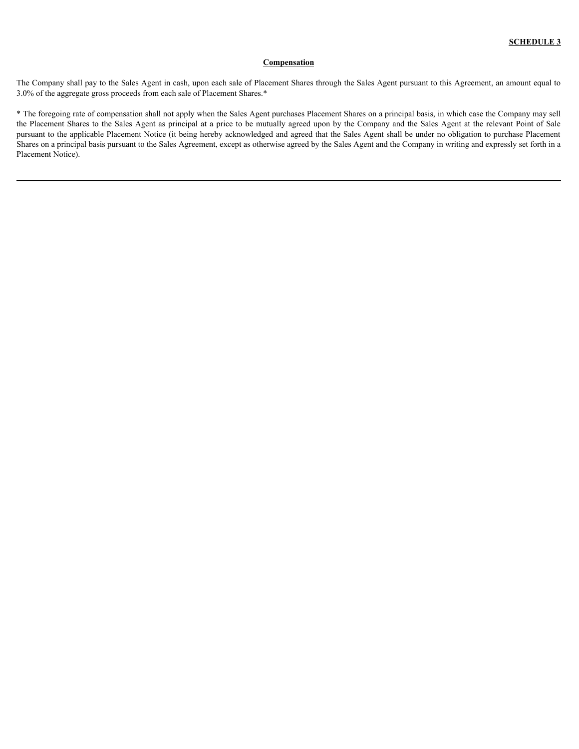### **Compensation**

The Company shall pay to the Sales Agent in cash, upon each sale of Placement Shares through the Sales Agent pursuant to this Agreement, an amount equal to 3.0% of the aggregate gross proceeds from each sale of Placement Shares.\*

\* The foregoing rate of compensation shall not apply when the Sales Agent purchases Placement Shares on a principal basis, in which case the Company may sell the Placement Shares to the Sales Agent as principal at a price to be mutually agreed upon by the Company and the Sales Agent at the relevant Point of Sale pursuant to the applicable Placement Notice (it being hereby acknowledged and agreed that the Sales Agent shall be under no obligation to purchase Placement Shares on a principal basis pursuant to the Sales Agreement, except as otherwise agreed by the Sales Agent and the Company in writing and expressly set forth in a Placement Notice).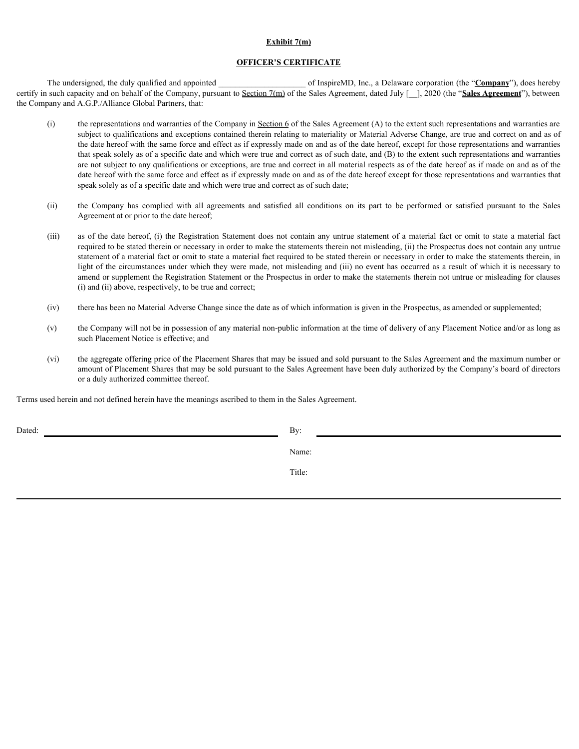### **Exhibit 7(m)**

### **OFFICER'S CERTIFICATE**

The undersigned, the duly qualified and appointed **and appointed** of InspireMD, Inc., a Delaware corporation (the "**Company**"), does hereby certify in such capacity and on behalf of the Company, pursuant to Section 7(m) of the Sales Agreement, dated July [\_\_], 2020 (the "**Sales Agreement**"), between the Company and A.G.P./Alliance Global Partners, that:

- (i) the representations and warranties of the Company in Section  $6$  of the Sales Agreement (A) to the extent such representations and warranties are subject to qualifications and exceptions contained therein relating to materiality or Material Adverse Change, are true and correct on and as of the date hereof with the same force and effect as if expressly made on and as of the date hereof, except for those representations and warranties that speak solely as of a specific date and which were true and correct as of such date, and (B) to the extent such representations and warranties are not subject to any qualifications or exceptions, are true and correct in all material respects as of the date hereof as if made on and as of the date hereof with the same force and effect as if expressly made on and as of the date hereof except for those representations and warranties that speak solely as of a specific date and which were true and correct as of such date; **EXAMBIT (fm)**<br> **EXAMBITERT CONTIFICATE**<br> **EXAMPIERT CONTIFICATE**<br> **EXAMPIERT COMPROSE COMPROSE COMPROSE COMPROSE COMPROSE CONTIFICATE:**<br>
(i) **SECOND PARTIFICATE**<br>
(i) **SECOND PARTIFICATE**<br>
(i) **THE COMPROSE CONTIFICATE**<br> **Exhibit 7mn)**<br> **Conservant Conservant Conservant Conservant Conservant Conservant Conservant Conservant Conservant Conservant Conservant Conservant Conservant Conservant Conservant Conservant Conservant Conservant Conser**
- Agreement at or prior to the date hereof;
- required to be stated therein or necessary in order to make the statements therein not misleading, (ii) the Prospectus does not contain any untrue statement of a material fact or omit to state a material fact required to be stated therein or necessary in order to make the statements therein, in light of the circumstances under which they were made, not misleading and (iii) no event has occurred as a result of which it is necessary to amend or supplement the Registration Statement or the Prospectus in order to make the statements therein not untrue or misleading for clauses (i) and (ii) above, respectively, to be true and correct;
- (iv) there has been no Material Adverse Change since the date as of which information is given in the Prospectus, as amended or supplemented;
- (v) the Company will not be in possession of any material non-public information at the time of delivery of any Placement Notice and/or as long as such Placement Notice is effective; and
- (vi) the aggregate offering price of the Placement Shares that may be issued and sold pursuant to the Sales Agreement and the maximum number or amount of Placement Shares that may be sold pursuant to the Sales Agreement have been duly authorized by the Company's board of directors or a duly authorized committee thereof.

Terms used herein and not defined herein have the meanings ascribed to them in the Sales Agreement.

Dated: By: Box 2004 and the Bystem and the Bystem and the Bystem and the Bystem and the Bystem and the Bystem and the Bystem and the Bystem and the Bystem and the Bystem and the Bystem and the Bystem and the Bystem and the

Name:

Title: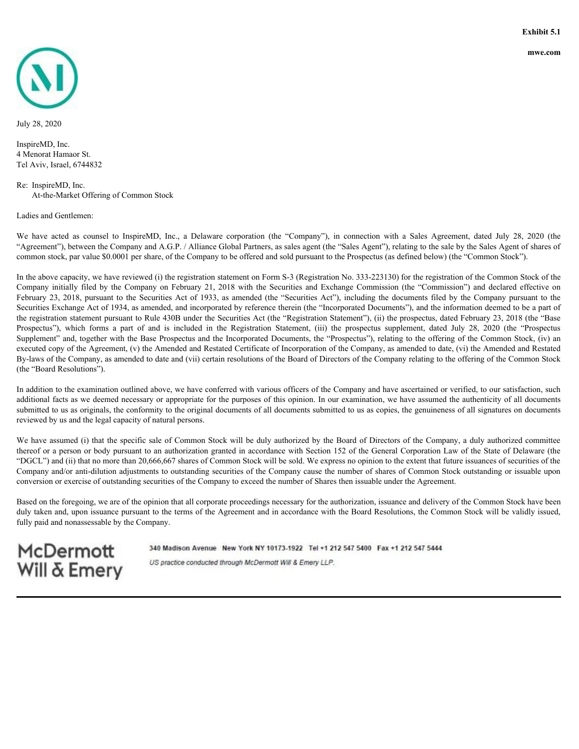<span id="page-35-0"></span>

July 28, 2020

InspireMD, Inc. 4 Menorat Hamaor St. Tel Aviv, Israel, 6744832

Re: InspireMD, Inc. At-the-Market Offering of Common Stock

Ladies and Gentlemen:

"Agreement"), between the Company and A.G.P. / Alliance Global Partners, as sales agent (the "Sales Agent"), relating to the sale by the Sales Agent of shares of common stock, par value \$0.0001 per share, of the Company to be offered and sold pursuant to the Prospectus (as defined below) (the "Common Stock").

Exhibit 5.1<br>
We 28, 2020<br>
Have to 2020<br>
Have the state of Counsel Based on InspireMD, he, a Delaware corporation (the "Company"), in connection with a Sales Agreement, dated July 28, 2020 (the<br>
Relievent Hamors St.<br>
Tel Av In the above capacity, we have reviewed (i) the registration statement on Form S-3 (Registration No. 333-223130) for the registration of the Common Stock of the Experience include the the by the company on February 21, 2018 with the Securities of the Company is a single of the Company of the Company of the Company of the Company of the Securities and Commission and Marcus and The **FAME CONDUST 23, 2018**<br>February 1200, 2020<br>Happen Minnary Entance St.<br>Hackers Hamilton St.<br>Actionary Hamilton St.<br>Actionary Act of Distribution Company and Act of Altimated Testings, and Securities (Actionary 120), in con Securities Exchange Act of 1934, as amended, and incorporated by reference therein (the "Incorporated Documents"), and the information deemed to be a part of the registration statement pursuant to Rule 430B under the Securities Act (the "Registration Statement"), (ii) the prospectus, dated February 23, 2018 (the "Base **Problem SCS**<br>
Provides a part of the second behavior of the results of the property of the forms of the SMS and Content and Andre Company (i) in example which is a subsequent of the deterministers of the registration (ii Supplement" and, together with the Base Prospectus and the Incorporated Documents, the "Prospectus"), relating to the offering of the Common Stock, (iv) an executed copy of the Agreement, (v) the Amended and Restated Certificate of Incorporation of the Company, as amended to date, (vi) the Amended and Restated By-laws of the Company, as amended to date and (vii) certain resolutions of the Board of Directors of the Company relating to the offering of the Common Stock (the "Board Resolutions").

In addition to the examination outlined above, we have conferred with various officers of the Company and have ascertained or verified, to our satisfaction, such additional facts as we deemed necessary or appropriate for the purposes of this opinion. In our examination, we have assumed the authenticity of all documents submitted to us as originals, the conformity to the original documents of all documents submitted to us as copies, the genuineness of all signatures on documents reviewed by us and the legal capacity of natural persons.

We have assumed (i) that the specific sale of Common Stock will be duly authorized by the Board of Directors of the Company, a duly authorized committee thereof or a person or body pursuant to an authorization granted in accordance with Section 152 of the General Corporation Law of the State of Delaware (the "DGCL") and (ii) that no more than 20,666,667 shares of Common Stock will be sold. We express no opinion to the extent that future issuances of securities of the Company and/or anti-dilution adjustments to outstanding securities of the Company cause the number of shares of Common Stock outstanding or issuable upon conversion or exercise of outstanding securities of the Company to exceed the number of Shares then issuable under the Agreement.

Based on the foregoing, we are of the opinion that all corporate proceedings necessary for the authorization, issuance and delivery of the Common Stock have been duly taken and, upon issuance pursuant to the terms of the Agreement and in accordance with the Board Resolutions, the Common Stock will be validly issued, fully paid and nonassessable by the Company.

**McDermott Will & Emery** 

340 Madison Avenue New York NY 10173-1922 Tel +1 212 547 5400 Fax +1 212 547 5444 US practice conducted through McDermott Will & Emery LLP.